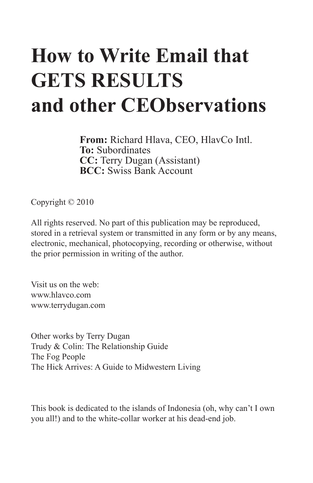## **How to Write Email that GETS RESULTS and other CEObservations**

**From:** Richard Hlava, CEO, HlavCo Intl. **To:** Subordinates **CC:** Terry Dugan (Assistant) **BCC:** Swiss Bank Account

Copyright © 2010

All rights reserved. No part of this publication may be reproduced, stored in a retrieval system or transmitted in any form or by any means, electronic, mechanical, photocopying, recording or otherwise, without the prior permission in writing of the author.

Visit us on the web: www.hlavco.com www.terrydugan.com

Other works by Terry Dugan Trudy & Colin: The Relationship Guide The Fog People The Hick Arrives: A Guide to Midwestern Living

This book is dedicated to the islands of Indonesia (oh, why can't I own you all!) and to the white-collar worker at his dead-end job.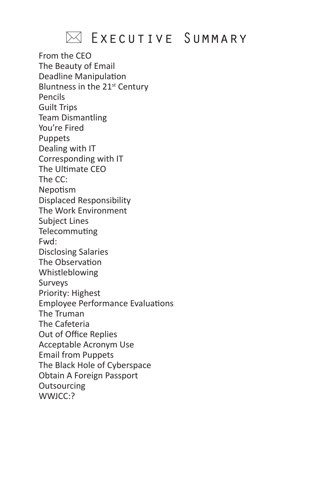### $\boxtimes$  Executive Summary

From the CEO The Beauty of Email Deadline Manipulation Bluntness in the 21<sup>st</sup> Century Pencils Guilt Trips Team Dismantling You're Fired Puppets Dealing with IT Corresponding with IT The Ultimate CEO The CC: Nepotism Displaced Responsibility The Work Environment Subject Lines Telecommuting Fwd: Disclosing Salaries The Observation Whistleblowing Surveys Priority: Highest Employee Performance Evaluations The Truman The Cafeteria Out of Office Replies Acceptable Acronym Use Email from Puppets The Black Hole of Cyberspace Obtain A Foreign Passport **Outsourcing** WWJCC:?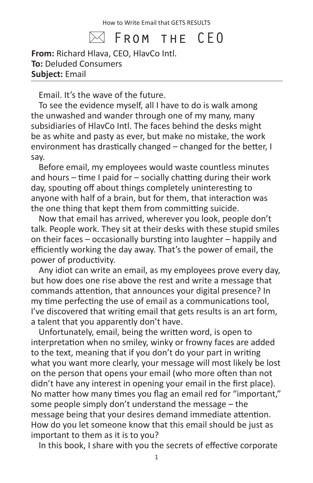$\bowtie$  From the <code>CEO</code>

**From:** Richard Hlava, CEO, HlavCo Intl. **To:** Deluded Consumers **Subject:** Email

Email. It's the wave of the future.

To see the evidence myself, all I have to do is walk among the unwashed and wander through one of my many, many subsidiaries of HlavCo Intl. The faces behind the desks might be as white and pasty as ever, but make no mistake, the work environment has drastically changed – changed for the better, I say.

Before email, my employees would waste countless minutes and hours – time I paid for – socially chatting during their work day, spouting off about things completely uninteresting to anyone with half of a brain, but for them, that interaction was the one thing that kept them from committing suicide.

Now that email has arrived, wherever you look, people don't talk. People work. They sit at their desks with these stupid smiles on their faces – occasionally bursting into laughter – happily and efficiently working the day away. That's the power of email, the power of productivity.

Any idiot can write an email, as my employees prove every day, but how does one rise above the rest and write a message that commands attention, that announces your digital presence? In my time perfecting the use of email as a communications tool, I've discovered that writing email that gets results is an art form, a talent that you apparently don't have.

Unfortunately, email, being the written word, is open to interpretation when no smiley, winky or frowny faces are added to the text, meaning that if you don't do your part in writing what you want more clearly, your message will most likely be lost on the person that opens your email (who more often than not didn't have any interest in opening your email in the first place). No matter how many times you flag an email red for "important," some people simply don't understand the message – the message being that your desires demand immediate attention. How do you let someone know that this email should be just as important to them as it is to you?

In this book, I share with you the secrets of effective corporate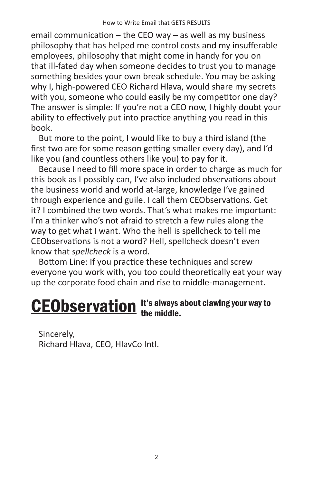email communication – the CEO way – as well as my business philosophy that has helped me control costs and my insufferable employees, philosophy that might come in handy for you on that ill-fated day when someone decides to trust you to manage something besides your own break schedule. You may be asking why I, high-powered CEO Richard Hlava, would share my secrets with you, someone who could easily be my competitor one day? The answer is simple: If you're not a CEO now, I highly doubt your ability to effectively put into practice anything you read in this book.

But more to the point, I would like to buy a third island (the first two are for some reason getting smaller every day), and I'd like you (and countless others like you) to pay for it.

Because I need to fill more space in order to charge as much for this book as I possibly can, I've also included observations about the business world and world at-large, knowledge I've gained through experience and guile. I call them CEObservations. Get it? I combined the two words. That's what makes me important: I'm a thinker who's not afraid to stretch a few rules along the way to get what I want. Who the hell is spellcheck to tell me CEObservations is not a word? Hell, spellcheck doesn't even know that *spellcheck* is a word.

Bottom Line: If you practice these techniques and screw everyone you work with, you too could theoretically eat your way up the corporate food chain and rise to middle-management.

#### It's always about clawing your way to **CEObservation** It's always

Sincerely, Richard Hlava, CEO, HlavCo Intl.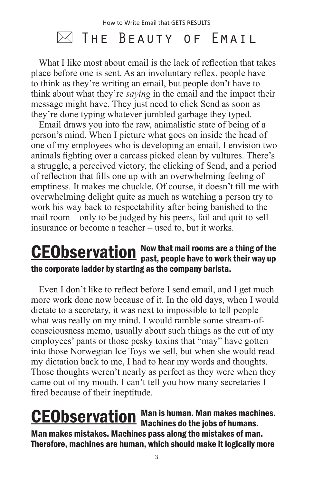## $\bowtie$  The Beauty of Email

What I like most about email is the lack of reflection that takes place before one is sent. As an involuntary reflex, people have to think as they're writing an email, but people don't have to think about what they're *saying* in the email and the impact their message might have. They just need to click Send as soon as they're done typing whatever jumbled garbage they typed.

Email draws you into the raw, animalistic state of being of a person's mind. When I picture what goes on inside the head of one of my employees who is developing an email, I envision two animals fighting over a carcass picked clean by vultures. There's a struggle, a perceived victory, the clicking of Send, and a period of reflection that fills one up with an overwhelming feeling of emptiness. It makes me chuckle. Of course, it doesn't fill me with overwhelming delight quite as much as watching a person try to work his way back to respectability after being banished to the mail room – only to be judged by his peers, fail and quit to sell insurance or become a teacher – used to, but it works.

#### Now that mail rooms are a thing of the **CEObservation** Now that mail rooms are a thing of the<br>past, people have to work their way up the corporate ladder by starting as the company barista.

Even I don't like to reflect before I send email, and I get much more work done now because of it. In the old days, when I would dictate to a secretary, it was next to impossible to tell people what was really on my mind. I would ramble some stream-ofconsciousness memo, usually about such things as the cut of my employees' pants or those pesky toxins that "may" have gotten into those Norwegian Ice Toys we sell, but when she would read my dictation back to me, I had to hear my words and thoughts. Those thoughts weren't nearly as perfect as they were when they came out of my mouth. I can't tell you how many secretaries I fired because of their ineptitude.

Man is human. Man makes machines. **CEObservation** Man is human. Man makes machines do the jobs of humans. Man makes mistakes. Machines pass along the mistakes of man. Therefore, machines are human, which should make it logically more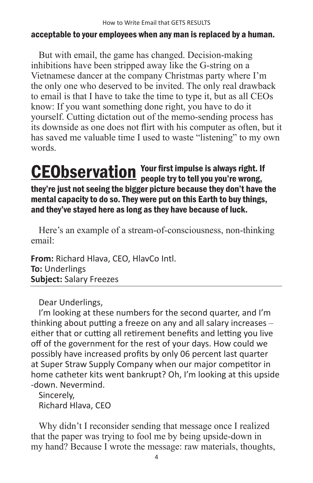#### acceptable to your employees when any man is replaced by a human.

But with email, the game has changed. Decision-making inhibitions have been stripped away like the G-string on a Vietnamese dancer at the company Christmas party where I'm the only one who deserved to be invited. The only real drawback to email is that I have to take the time to type it, but as all CEOs know: If you want something done right, you have to do it yourself. Cutting dictation out of the memo-sending process has its downside as one does not flirt with his computer as often, but it has saved me valuable time I used to waste "listening" to my own words.

#### Your first impulse is always right. If **CEObservation** Your first impulse is always right. If they're just not seeing the bigger picture because they don't have the mental capacity to do so. They were put on this Earth to buy things, and they've stayed here as long as they have because of luck.

Here's an example of a stream-of-consciousness, non-thinking email:

**From:** Richard Hlava, CEO, HlavCo Intl. **To:** Underlings **Subject:** Salary Freezes

Dear Underlings,

I'm looking at these numbers for the second quarter, and I'm thinking about putting a freeze on any and all salary increases – either that or cutting all retirement benefits and letting you live off of the government for the rest of your days. How could we possibly have increased profits by only 06 percent last quarter at Super Straw Supply Company when our major competitor in home catheter kits went bankrupt? Oh, I'm looking at this upside -down. Nevermind.

Sincerely, Richard Hlava, CEO

Why didn't I reconsider sending that message once I realized that the paper was trying to fool me by being upside-down in my hand? Because I wrote the message: raw materials, thoughts,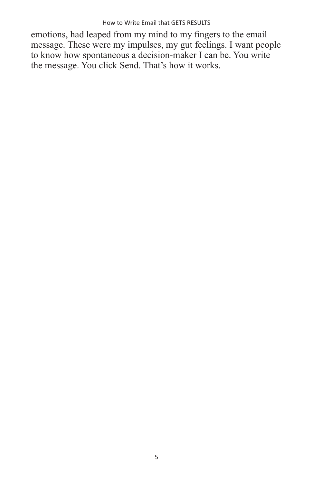emotions, had leaped from my mind to my fingers to the email message. These were my impulses, my gut feelings. I want people to know how spontaneous a decision-maker I can be. You write the message. You click Send. That's how it works.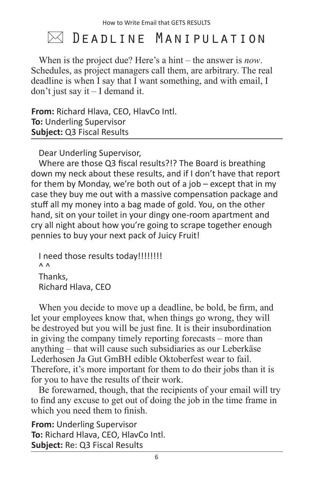## $\bowtie$  DEADLINE MANIPULATION

When is the project due? Here's a hint – the answer is *now*. Schedules, as project managers call them, are arbitrary. The real deadline is when I say that I want something, and with email, I don't just say it – I demand it.

**From:** Richard Hlava, CEO, HlavCo Intl. **To:** Underling Supervisor **Subject:** Q3 Fiscal Results

Dear Underling Supervisor,

Where are those Q3 fiscal results?!? The Board is breathing down my neck about these results, and if I don't have that report for them by Monday, we're both out of a job – except that in my case they buy me out with a massive compensation package and stuff all my money into a bag made of gold. You, on the other hand, sit on your toilet in your dingy one-room apartment and cry all night about how you're going to scrape together enough pennies to buy your next pack of Juicy Fruit!

I need those results today!!!!!!!!!  $\wedge$   $\wedge$ Thanks, Richard Hlava, CEO

When you decide to move up a deadline, be bold, be firm, and let your employees know that, when things go wrong, they will be destroyed but you will be just fine. It is their insubordination in giving the company timely reporting forecasts – more than anything – that will cause such subsidiaries as our Leberkäse Lederhosen Ja Gut GmBH edible Oktoberfest wear to fail. Therefore, it's more important for them to do their jobs than it is for you to have the results of their work.

Be forewarned, though, that the recipients of your email will try to find any excuse to get out of doing the job in the time frame in which you need them to finish.

**From:** Underling Supervisor **To:** Richard Hlava, CEO, HlavCo Intl. **Subject:** Re: Q3 Fiscal Results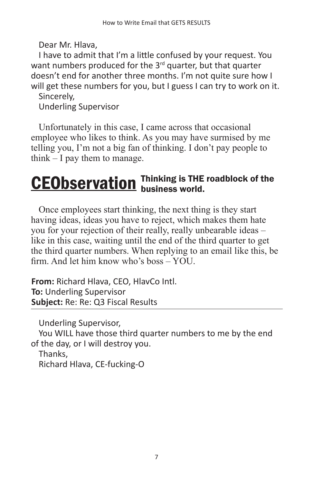Dear Mr. Hlava,

I have to admit that I'm a little confused by your request. You want numbers produced for the 3<sup>rd</sup> quarter, but that quarter doesn't end for another three months. I'm not quite sure how I will get these numbers for you, but I guess I can try to work on it.

Sincerely,

Underling Supervisor

Unfortunately in this case, I came across that occasional employee who likes to think. As you may have surmised by me telling you, I'm not a big fan of thinking. I don't pay people to think – I pay them to manage.

#### Thinking is THE roadblock of the **CEObservation** Thinking is THE

Once employees start thinking, the next thing is they start having ideas, ideas you have to reject, which makes them hate you for your rejection of their really, really unbearable ideas – like in this case, waiting until the end of the third quarter to get the third quarter numbers. When replying to an email like this, be firm. And let him know who's boss – YOU.

**From:** Richard Hlava, CEO, HlavCo Intl. **To:** Underling Supervisor **Subject:** Re: Re: Q3 Fiscal Results

Underling Supervisor, You WILL have those third quarter numbers to me by the end of the day, or I will destroy you. Thanks,

Richard Hlava, CE-fucking-O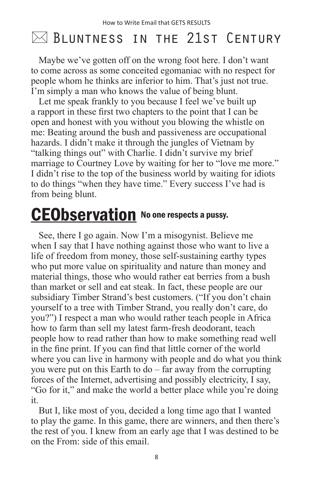## $\bowtie$  Bluntness in the 21st Century

Maybe we've gotten off on the wrong foot here. I don't want to come across as some conceited egomaniac with no respect for people whom he thinks are inferior to him. That's just not true. I'm simply a man who knows the value of being blunt.

Let me speak frankly to you because I feel we've built up a rapport in these first two chapters to the point that I can be open and honest with you without you blowing the whistle on me: Beating around the bush and passiveness are occupational hazards. I didn't make it through the jungles of Vietnam by "talking things out" with Charlie. I didn't survive my brief marriage to Courtney Love by waiting for her to "love me more." I didn't rise to the top of the business world by waiting for idiots to do things "when they have time." Every success I've had is from being blunt.

## **CEObservation** No one respects a pussy.

See, there I go again. Now I'm a misogynist. Believe me when I say that I have nothing against those who want to live a life of freedom from money, those self-sustaining earthy types who put more value on spirituality and nature than money and material things, those who would rather eat berries from a bush than market or sell and eat steak. In fact, these people are our subsidiary Timber Strand's best customers. ("If you don't chain yourself to a tree with Timber Strand, you really don't care, do you?") I respect a man who would rather teach people in Africa how to farm than sell my latest farm-fresh deodorant, teach people how to read rather than how to make something read well in the fine print. If you can find that little corner of the world where you can live in harmony with people and do what you think you were put on this Earth to do – far away from the corrupting forces of the Internet, advertising and possibly electricity, I say, "Go for it," and make the world a better place while you're doing it.

But I, like most of you, decided a long time ago that I wanted to play the game. In this game, there are winners, and then there's the rest of you. I knew from an early age that I was destined to be on the From: side of this email.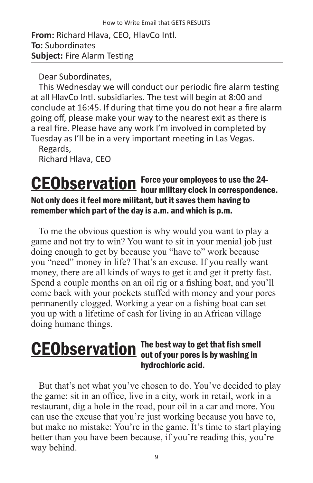**From:** Richard Hlava, CEO, HlavCo Intl. **To:** Subordinates **Subject:** Fire Alarm Testing

Dear Subordinates,

This Wednesday we will conduct our periodic fire alarm testing at all HlavCo Intl. subsidiaries. The test will begin at 8:00 and conclude at 16:45. If during that time you do not hear a fire alarm going off, please make your way to the nearest exit as there is a real fire. Please have any work I'm involved in completed by Tuesday as I'll be in a very important meeting in Las Vegas.

Regards, Richard Hlava, CEO

#### Force your employees to use the 24- CEObservation Force your employees to use the 24-<br>hour military clock in correspondence. Not only does it feel more militant, but it saves them having to remember which part of the day is a.m. and which is p.m.

To me the obvious question is why would you want to play a game and not try to win? You want to sit in your menial job just doing enough to get by because you "have to" work because you "need" money in life? That's an excuse. If you really want money, there are all kinds of ways to get it and get it pretty fast. Spend a couple months on an oil rig or a fishing boat, and you'll come back with your pockets stuffed with money and your pores permanently clogged. Working a year on a fishing boat can set you up with a lifetime of cash for living in an African village doing humane things.

#### The best way to get that fish smell **CEObservation** The best way to get that fish smel hydrochloric acid.

But that's not what you've chosen to do. You've decided to play the game: sit in an office, live in a city, work in retail, work in a restaurant, dig a hole in the road, pour oil in a car and more. You can use the excuse that you're just working because you have to, but make no mistake: You're in the game. It's time to start playing better than you have been because, if you're reading this, you're way behind.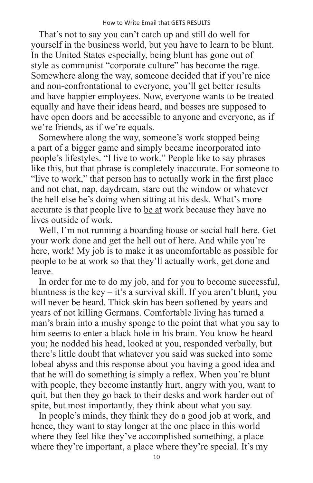That's not to say you can't catch up and still do well for yourself in the business world, but you have to learn to be blunt. In the United States especially, being blunt has gone out of style as communist "corporate culture" has become the rage. Somewhere along the way, someone decided that if you're nice and non-confrontational to everyone, you'll get better results and have happier employees. Now, everyone wants to be treated equally and have their ideas heard, and bosses are supposed to have open doors and be accessible to anyone and everyone, as if we're friends, as if we're equals.

Somewhere along the way, someone's work stopped being a part of a bigger game and simply became incorporated into people's lifestyles. "I live to work." People like to say phrases like this, but that phrase is completely inaccurate. For someone to "live to work," that person has to actually work in the first place and not chat, nap, daydream, stare out the window or whatever the hell else he's doing when sitting at his desk. What's more accurate is that people live to be at work because they have no lives outside of work.

Well, I'm not running a boarding house or social hall here. Get your work done and get the hell out of here. And while you're here, work! My job is to make it as uncomfortable as possible for people to be at work so that they'll actually work, get done and leave.

In order for me to do my job, and for you to become successful, bluntness is the key – it's a survival skill. If you aren't blunt, you will never be heard. Thick skin has been softened by years and years of not killing Germans. Comfortable living has turned a man's brain into a mushy sponge to the point that what you say to him seems to enter a black hole in his brain. You know he heard you; he nodded his head, looked at you, responded verbally, but there's little doubt that whatever you said was sucked into some lobeal abyss and this response about you having a good idea and that he will do something is simply a reflex. When you're blunt with people, they become instantly hurt, angry with you, want to quit, but then they go back to their desks and work harder out of spite, but most importantly, they think about what you say.

In people's minds, they think they do a good job at work, and hence, they want to stay longer at the one place in this world where they feel like they've accomplished something, a place where they're important, a place where they're special. It's my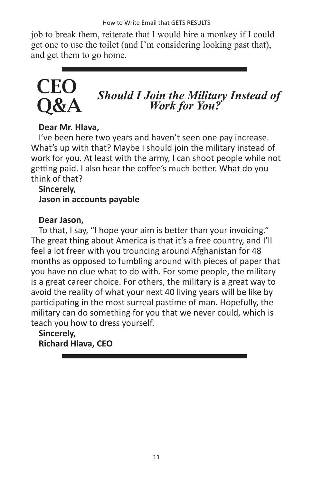job to break them, reiterate that I would hire a monkey if I could get one to use the toilet (and I'm considering looking past that), and get them to go home.

## **CEC** Q&A

# *Should I Join the Military Instead of Work for You?*

#### **Dear Mr. Hlava,**

I've been here two years and haven't seen one pay increase. What's up with that? Maybe I should join the military instead of work for you. At least with the army, I can shoot people while not getting paid. I also hear the coffee's much better. What do you think of that?

#### **Sincerely, Jason in accounts payable**

#### **Dear Jason,**

To that, I say, "I hope your aim is better than your invoicing." The great thing about America is that it's a free country, and I'll feel a lot freer with you trouncing around Afghanistan for 48 months as opposed to fumbling around with pieces of paper that you have no clue what to do with. For some people, the military is a great career choice. For others, the military is a great way to avoid the reality of what your next 40 living years will be like by participating in the most surreal pastime of man. Hopefully, the military can do something for you that we never could, which is teach you how to dress yourself.

#### **Sincerely, Richard Hlava, CEO**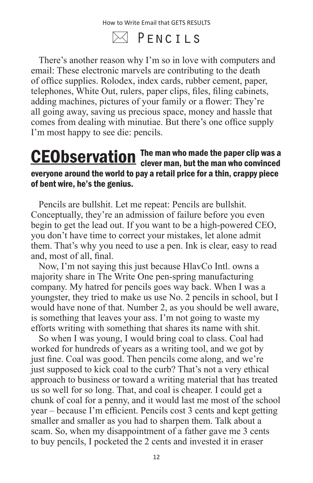$\bowtie$  PFNCTLS

There's another reason why I'm so in love with computers and email: These electronic marvels are contributing to the death of office supplies. Rolodex, index cards, rubber cement, paper, telephones, White Out, rulers, paper clips, files, filing cabinets, adding machines, pictures of your family or a flower: They're all going away, saving us precious space, money and hassle that comes from dealing with minutiae. But there's one office supply I'm most happy to see die: pencils.

#### The man who made the paper clip was a **CEObservation** The man who made the paper clip was a<br>clever man, but the man who convinced everyone around the world to pay a retail price for a thin, crappy piece of bent wire, he's the genius.

Pencils are bullshit. Let me repeat: Pencils are bullshit. Conceptually, they're an admission of failure before you even begin to get the lead out. If you want to be a high-powered CEO, you don't have time to correct your mistakes, let alone admit them. That's why you need to use a pen. Ink is clear, easy to read and, most of all, final.

Now, I'm not saying this just because HlavCo Intl. owns a majority share in The Write One pen-spring manufacturing company. My hatred for pencils goes way back. When I was a youngster, they tried to make us use No. 2 pencils in school, but I would have none of that. Number 2, as you should be well aware, is something that leaves your ass. I'm not going to waste my efforts writing with something that shares its name with shit.

So when I was young, I would bring coal to class. Coal had worked for hundreds of years as a writing tool, and we got by just fine. Coal was good. Then pencils come along, and we're just supposed to kick coal to the curb? That's not a very ethical approach to business or toward a writing material that has treated us so well for so long. That, and coal is cheaper. I could get a chunk of coal for a penny, and it would last me most of the school year – because I'm efficient. Pencils cost 3 cents and kept getting smaller and smaller as you had to sharpen them. Talk about a scam. So, when my disappointment of a father gave me 3 cents to buy pencils, I pocketed the 2 cents and invested it in eraser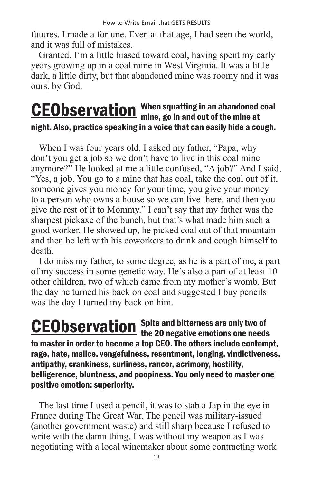futures. I made a fortune. Even at that age, I had seen the world, and it was full of mistakes.

Granted, I'm a little biased toward coal, having spent my early years growing up in a coal mine in West Virginia. It was a little dark, a little dirty, but that abandoned mine was roomy and it was ours, by God.

#### When squatting in an abandoned coal **CEObservation** When squatting in an abandoned night. Also, practice speaking in a voice that can easily hide a cough.

When I was four years old, I asked my father, "Papa, why don't you get a job so we don't have to live in this coal mine anymore?" He looked at me a little confused, "A job?" And I said, "Yes, a job. You go to a mine that has coal, take the coal out of it, someone gives you money for your time, you give your money to a person who owns a house so we can live there, and then you give the rest of it to Mommy." I can't say that my father was the sharpest pickaxe of the bunch, but that's what made him such a good worker. He showed up, he picked coal out of that mountain and then he left with his coworkers to drink and cough himself to death.

I do miss my father, to some degree, as he is a part of me, a part of my success in some genetic way. He's also a part of at least 10 other children, two of which came from my mother's womb. But the day he turned his back on coal and suggested I buy pencils was the day I turned my back on him.

Spite and bitterness are only two of **CEObservation** Spite and bitterness are only two of the 20 negative emotions one needs to master in order to become a top CEO. The others include contempt, rage, hate, malice, vengefulness, resentment, longing, vindictiveness, antipathy, crankiness, surliness, rancor, acrimony, hostility, belligerence, bluntness, and poopiness. You only need to master one positive emotion: superiority.

The last time I used a pencil, it was to stab a Jap in the eye in France during The Great War. The pencil was military-issued (another government waste) and still sharp because I refused to write with the damn thing. I was without my weapon as I was negotiating with a local winemaker about some contracting work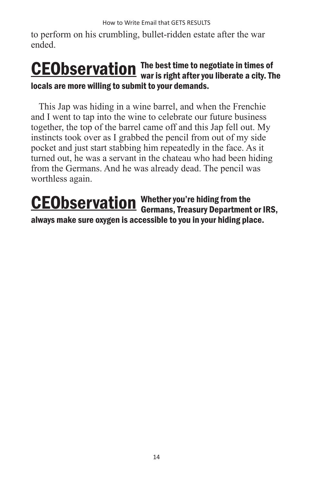How to Write Email that GETS RESULTS

to perform on his crumbling, bullet-ridden estate after the war ended.

#### The best time to negotiate in times of **CEObservation** The best time to negotiate in times of<br>war is right after you liberate a city. The locals are more willing to submit to your demands.

This Jap was hiding in a wine barrel, and when the Frenchie and I went to tap into the wine to celebrate our future business together, the top of the barrel came off and this Jap fell out. My instincts took over as I grabbed the pencil from out of my side pocket and just start stabbing him repeatedly in the face. As it turned out, he was a servant in the chateau who had been hiding from the Germans. And he was already dead. The pencil was worthless again.

Whether you're hiding from the **CEObservation** Whether you're hiding from the<br>Germans, Treasury Department or IRS, always make sure oxygen is accessible to you in your hiding place.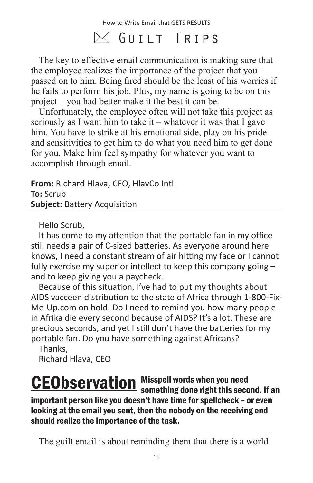## $\bowtie$  Guilt Trips

The key to effective email communication is making sure that the employee realizes the importance of the project that you passed on to him. Being fired should be the least of his worries if he fails to perform his job. Plus, my name is going to be on this project – you had better make it the best it can be.

Unfortunately, the employee often will not take this project as seriously as I want him to take it – whatever it was that I gave him. You have to strike at his emotional side, play on his pride and sensitivities to get him to do what you need him to get done for you. Make him feel sympathy for whatever you want to accomplish through email.

**From:** Richard Hlava, CEO, HlavCo Intl. **To:** Scrub **Subject:** Battery Acquisition

Hello Scrub,

It has come to my attention that the portable fan in my office still needs a pair of C-sized batteries. As everyone around here knows, I need a constant stream of air hitting my face or I cannot fully exercise my superior intellect to keep this company going – and to keep giving you a paycheck.

Because of this situation, I've had to put my thoughts about AIDS vacceen distribution to the state of Africa through 1-800-Fix-Me-Up.com on hold. Do I need to remind you how many people in Afrika die every second because of AIDS? It's a lot. These are precious seconds, and yet I still don't have the batteries for my portable fan. Do you have something against Africans?

Thanks, Richard Hlava, CEO

#### Misspell words when you need **CEObservation** Misspell words when you need<br>something done right this second. If an important person like you doesn't have time for spellcheck – or even looking at the email you sent, then the nobody on the receiving end should realize the importance of the task.

The guilt email is about reminding them that there is a world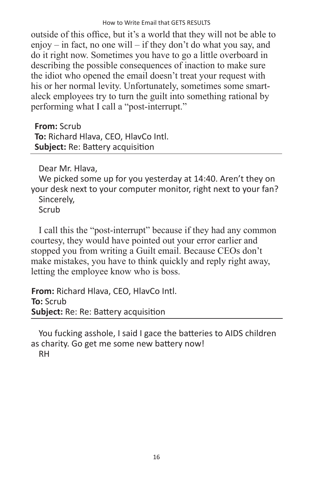outside of this office, but it's a world that they will not be able to enjoy – in fact, no one will – if they don't do what you say, and do it right now. Sometimes you have to go a little overboard in describing the possible consequences of inaction to make sure the idiot who opened the email doesn't treat your request with his or her normal levity. Unfortunately, sometimes some smartaleck employees try to turn the guilt into something rational by performing what I call a "post-interrupt."

**From:** Scrub **To:** Richard Hlava, CEO, HlavCo Intl. **Subject:** Re: Battery acquisition

Dear Mr. Hlava,

We picked some up for you yesterday at 14:40. Aren't they on your desk next to your computer monitor, right next to your fan? Sincerely,

Scrub

I call this the "post-interrupt" because if they had any common courtesy, they would have pointed out your error earlier and stopped you from writing a Guilt email. Because CEOs don't make mistakes, you have to think quickly and reply right away, letting the employee know who is boss.

**From:** Richard Hlava, CEO, HlavCo Intl. **To:** Scrub **Subject:** Re: Re: Battery acquisition

You fucking asshole, I said I gace the batteries to AIDS children as charity. Go get me some new battery now! RH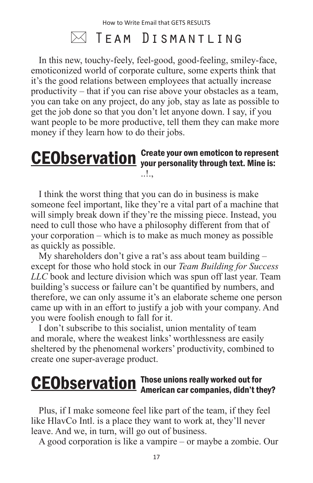### $\bowtie$  Team Dismantling

In this new, touchy-feely, feel-good, good-feeling, smiley-face, emoticonized world of corporate culture, some experts think that it's the good relations between employees that actually increase productivity – that if you can rise above your obstacles as a team, you can take on any project, do any job, stay as late as possible to get the job done so that you don't let anyone down. I say, if you want people to be more productive, tell them they can make more money if they learn how to do their jobs.

#### Create your own emoticon to represent **CEObservation** Create your own emoticon to represen<br>is: We personality through text. Mine is:  $\blacksquare$

I think the worst thing that you can do in business is make someone feel important, like they're a vital part of a machine that will simply break down if they're the missing piece. Instead, you need to cull those who have a philosophy different from that of your corporation – which is to make as much money as possible as quickly as possible.

My shareholders don't give a rat's ass about team building – except for those who hold stock in our *Team Building for Success LLC* book and lecture division which was spun off last year. Team building's success or failure can't be quantified by numbers, and therefore, we can only assume it's an elaborate scheme one person came up with in an effort to justify a job with your company. And you were foolish enough to fall for it.

I don't subscribe to this socialist, union mentality of team and morale, where the weakest links' worthlessness are easily sheltered by the phenomenal workers' productivity, combined to create one super-average product.

#### Those unions really worked out for **CEObservation** Those unions really worked out for<br>American car companies, didn't they?

Plus, if I make someone feel like part of the team, if they feel like HlavCo Intl. is a place they want to work at, they'll never leave. And we, in turn, will go out of business.

A good corporation is like a vampire – or maybe a zombie. Our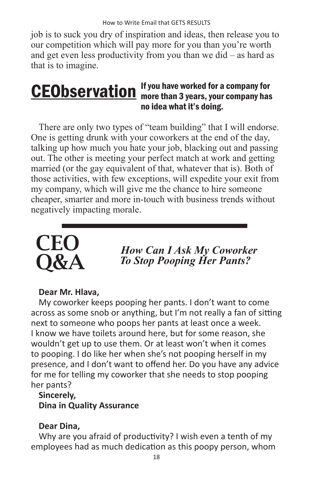job is to suck you dry of inspiration and ideas, then release you to our competition which will pay more for you than you're worth and get even less productivity from you than we did – as hard as that is to imagine.

#### If you have worked for a company for **CEObservation** If you have worked for a company for<br>more than 3 years, your company has no idea what it's doing.

There are only two types of "team building" that I will endorse. One is getting drunk with your coworkers at the end of the day, talking up how much you hate your job, blacking out and passing out. The other is meeting your perfect match at work and getting married (or the gay equivalent of that, whatever that is). Both of those activities, with few exceptions, will expedite your exit from my company, which will give me the chance to hire someone cheaper, smarter and more in-touch with business trends without negatively impacting morale.



*How Can I Ask My Coworker To Stop Pooping Her Pants?*

#### **Dear Mr. Hlava,**

My coworker keeps pooping her pants. I don't want to come across as some snob or anything, but I'm not really a fan of sitting next to someone who poops her pants at least once a week. I know we have toilets around here, but for some reason, she wouldn't get up to use them. Or at least won't when it comes to pooping. I do like her when she's not pooping herself in my presence, and I don't want to offend her. Do you have any advice for me for telling my coworker that she needs to stop pooping her pants?

#### **Sincerely, Dina in Quality Assurance**

#### **Dear Dina,**

Why are you afraid of productivity? I wish even a tenth of my employees had as much dedication as this poopy person, whom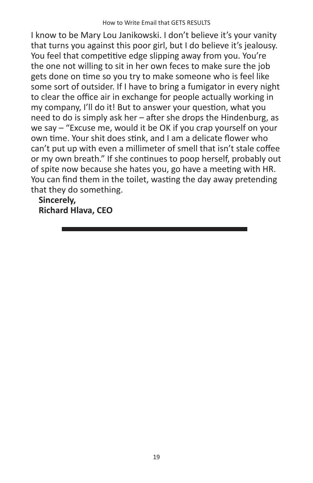I know to be Mary Lou Janikowski. I don't believe it's your vanity that turns you against this poor girl, but I do believe it's jealousy. You feel that competitive edge slipping away from you. You're the one not willing to sit in her own feces to make sure the job gets done on time so you try to make someone who is feel like some sort of outsider. If I have to bring a fumigator in every night to clear the office air in exchange for people actually working in my company, I'll do it! But to answer your question, what you need to do is simply ask her – after she drops the Hindenburg, as we say – "Excuse me, would it be OK if you crap yourself on your own time. Your shit does stink, and I am a delicate flower who can't put up with even a millimeter of smell that isn't stale coffee or my own breath." If she continues to poop herself, probably out of spite now because she hates you, go have a meeting with HR. You can find them in the toilet, wasting the day away pretending that they do something.

**Sincerely, Richard Hlava, CEO**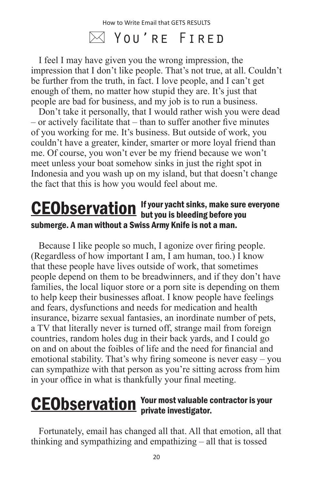### $\boxtimes$  You're Fired

I feel I may have given you the wrong impression, the impression that I don't like people. That's not true, at all. Couldn't be further from the truth, in fact. I love people, and I can't get enough of them, no matter how stupid they are. It's just that people are bad for business, and my job is to run a business.

Don't take it personally, that I would rather wish you were dead – or actively facilitate that – than to suffer another five minutes of you working for me. It's business. But outside of work, you couldn't have a greater, kinder, smarter or more loyal friend than me. Of course, you won't ever be my friend because we won't meet unless your boat somehow sinks in just the right spot in Indonesia and you wash up on my island, but that doesn't change the fact that this is how you would feel about me.

#### If your yacht sinks, make sure everyone **CEObservation** If your yacht sinks, make sure<br>but you is bleeding before you submerge. A man without a Swiss Army Knife is not a man.

Because I like people so much, I agonize over firing people. (Regardless of how important I am, I am human, too.) I know that these people have lives outside of work, that sometimes people depend on them to be breadwinners, and if they don't have families, the local liquor store or a porn site is depending on them to help keep their businesses afloat. I know people have feelings and fears, dysfunctions and needs for medication and health insurance, bizarre sexual fantasies, an inordinate number of pets, a TV that literally never is turned off, strange mail from foreign countries, random holes dug in their back yards, and I could go on and on about the foibles of life and the need for financial and emotional stability. That's why firing someone is never easy – you can sympathize with that person as you're sitting across from him in your office in what is thankfully your final meeting.

#### Your most valuable contractor is your **CEObservation** Your most valuable contract private investigator.

Fortunately, email has changed all that. All that emotion, all that thinking and sympathizing and empathizing – all that is tossed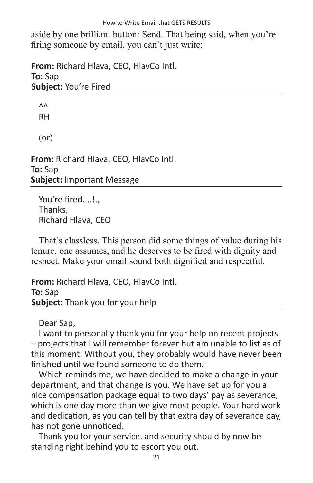aside by one brilliant button: Send. That being said, when you're firing someone by email, you can't just write:

**From:** Richard Hlava, CEO, HlavCo Intl. **To:** Sap **Subject:** You're Fired

 $\Lambda$ <sup> $\Lambda$ </sup> RH (or)

**From:** Richard Hlava, CEO, HlavCo Intl. **To:** Sap **Subject:** Important Message

You're fired. ..!.. Thanks, Richard Hlava, CEO

That's classless. This person did some things of value during his tenure, one assumes, and he deserves to be fired with dignity and respect. Make your email sound both dignified and respectful.

**From:** Richard Hlava, CEO, HlavCo Intl. **To:** Sap **Subject:** Thank you for your help

Dear Sap,

I want to personally thank you for your help on recent projects – projects that I will remember forever but am unable to list as of this moment. Without you, they probably would have never been finished until we found someone to do them.

Which reminds me, we have decided to make a change in your department, and that change is you. We have set up for you a nice compensation package equal to two days' pay as severance, which is one day more than we give most people. Your hard work and dedication, as you can tell by that extra day of severance pay, has not gone unnoticed.

Thank you for your service, and security should by now be standing right behind you to escort you out.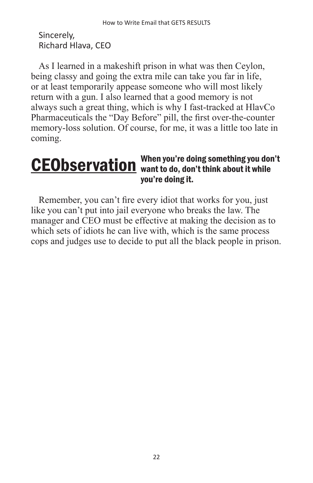Sincerely, Richard Hlava, CEO

As I learned in a makeshift prison in what was then Ceylon, being classy and going the extra mile can take you far in life, or at least temporarily appease someone who will most likely return with a gun. I also learned that a good memory is not always such a great thing, which is why I fast-tracked at HlavCo Pharmaceuticals the "Day Before" pill, the first over-the-counter memory-loss solution. Of course, for me, it was a little too late in coming.

#### When you're doing something you don't CEObservation When you're doing something you doing the mond of the while you're doing it.

Remember, you can't fire every idiot that works for you, just like you can't put into jail everyone who breaks the law. The manager and CEO must be effective at making the decision as to which sets of idiots he can live with, which is the same process cops and judges use to decide to put all the black people in prison.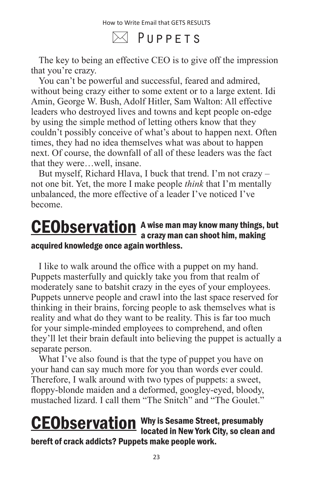$\boxtimes$  Puppets

The key to being an effective CEO is to give off the impression that you're crazy.

You can't be powerful and successful, feared and admired, without being crazy either to some extent or to a large extent. Idi Amin, George W. Bush, Adolf Hitler, Sam Walton: All effective leaders who destroyed lives and towns and kept people on-edge by using the simple method of letting others know that they couldn't possibly conceive of what's about to happen next. Often times, they had no idea themselves what was about to happen next. Of course, the downfall of all of these leaders was the fact that they were…well, insane.

But myself, Richard Hlava, I buck that trend. I'm not crazy – not one bit. Yet, the more I make people *think* that I'm mentally unbalanced, the more effective of a leader I've noticed I've become.

#### A wise man may know many things, but **CEObservation** A wise man may know many things,<br>a crazy man can shoot him, making acquired knowledge once again worthless.

I like to walk around the office with a puppet on my hand. Puppets masterfully and quickly take you from that realm of moderately sane to batshit crazy in the eyes of your employees. Puppets unnerve people and crawl into the last space reserved for thinking in their brains, forcing people to ask themselves what is reality and what do they want to be reality. This is far too much for your simple-minded employees to comprehend, and often they'll let their brain default into believing the puppet is actually a separate person.

What I've also found is that the type of puppet you have on your hand can say much more for you than words ever could. Therefore, I walk around with two types of puppets: a sweet, floppy-blonde maiden and a deformed, googley-eyed, bloody, mustached lizard. I call them "The Snitch" and "The Goulet."

#### Why is Sesame Street, presumably **CEObservation** Why is Sesame Street, presumably<br>located in New York City, so clean and bereft of crack addicts? Puppets make people work.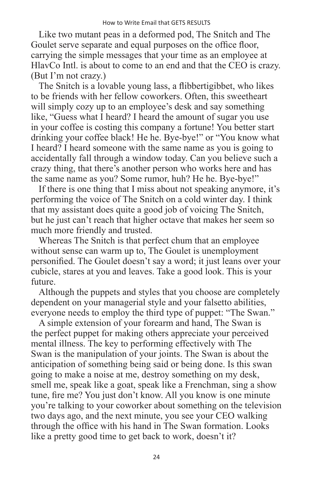Like two mutant peas in a deformed pod, The Snitch and The Goulet serve separate and equal purposes on the office floor, carrying the simple messages that your time as an employee at HlavCo Intl. is about to come to an end and that the CEO is crazy. (But I'm not crazy.)

The Snitch is a lovable young lass, a flibbertigibbet, who likes to be friends with her fellow coworkers. Often, this sweetheart will simply cozy up to an employee's desk and say something like, "Guess what I heard? I heard the amount of sugar you use in your coffee is costing this company a fortune! You better start drinking your coffee black! He he. Bye-bye!" or "You know what I heard? I heard someone with the same name as you is going to accidentally fall through a window today. Can you believe such a crazy thing, that there's another person who works here and has the same name as you? Some rumor, huh? He he. Bye-bye!"

If there is one thing that I miss about not speaking anymore, it's performing the voice of The Snitch on a cold winter day. I think that my assistant does quite a good job of voicing The Snitch, but he just can't reach that higher octave that makes her seem so much more friendly and trusted.

Whereas The Snitch is that perfect chum that an employee without sense can warm up to, The Goulet is unemployment personified. The Goulet doesn't say a word; it just leans over your cubicle, stares at you and leaves. Take a good look. This is your future.

Although the puppets and styles that you choose are completely dependent on your managerial style and your falsetto abilities, everyone needs to employ the third type of puppet: "The Swan."

A simple extension of your forearm and hand, The Swan is the perfect puppet for making others appreciate your perceived mental illness. The key to performing effectively with The Swan is the manipulation of your joints. The Swan is about the anticipation of something being said or being done. Is this swan going to make a noise at me, destroy something on my desk, smell me, speak like a goat, speak like a Frenchman, sing a show tune, fire me? You just don't know. All you know is one minute you're talking to your coworker about something on the television two days ago, and the next minute, you see your CEO walking through the office with his hand in The Swan formation. Looks like a pretty good time to get back to work, doesn't it?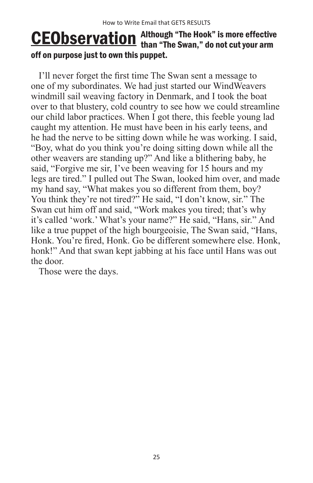#### Although "The Hook" is more effective **CEObservation** Although "The Hook" is more effective<br>than "The Swan," do not cut your arm off on purpose just to own this puppet.

I'll never forget the first time The Swan sent a message to one of my subordinates. We had just started our WindWeavers windmill sail weaving factory in Denmark, and I took the boat over to that blustery, cold country to see how we could streamline our child labor practices. When I got there, this feeble young lad caught my attention. He must have been in his early teens, and he had the nerve to be sitting down while he was working. I said, "Boy, what do you think you're doing sitting down while all the other weavers are standing up?" And like a blithering baby, he said, "Forgive me sir, I've been weaving for 15 hours and my legs are tired." I pulled out The Swan, looked him over, and made my hand say, "What makes you so different from them, boy? You think they're not tired?" He said, "I don't know, sir." The Swan cut him off and said, "Work makes you tired; that's why it's called 'work.' What's your name?" He said, "Hans, sir." And like a true puppet of the high bourgeoisie, The Swan said, "Hans, Honk. You're fired, Honk. Go be different somewhere else. Honk, honk!" And that swan kept jabbing at his face until Hans was out the door.

Those were the days.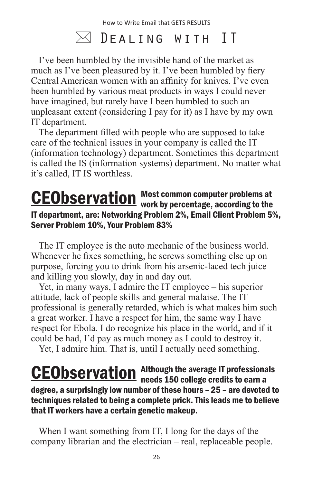## $\boxtimes$  Dealing with IT

I've been humbled by the invisible hand of the market as much as I've been pleasured by it. I've been humbled by fiery Central American women with an affinity for knives. I've even been humbled by various meat products in ways I could never have imagined, but rarely have I been humbled to such an unpleasant extent (considering I pay for it) as I have by my own IT department.

The department filled with people who are supposed to take care of the technical issues in your company is called the IT (information technology) department. Sometimes this department is called the IS (information systems) department. No matter what it's called, IT IS worthless.

#### Most common computer problems at **CEObservation** Most common computer problems at vertical on Most common computer problems at IT department, are: Networking Problem 2%, Email Client Problem 5%, Server Problem 10%, Your Problem 83%

The IT employee is the auto mechanic of the business world. Whenever he fixes something, he screws something else up on purpose, forcing you to drink from his arsenic-laced tech juice and killing you slowly, day in and day out.

Yet, in many ways, I admire the IT employee – his superior attitude, lack of people skills and general malaise. The IT professional is generally retarded, which is what makes him such a great worker. I have a respect for him, the same way I have respect for Ebola. I do recognize his place in the world, and if it could be had, I'd pay as much money as I could to destroy it.

Yet, I admire him. That is, until I actually need something.

#### Although the average IT professionals CEObservation Although the average IT professiona<br>
needs 150 college credits to earn a degree, a surprisingly low number of these hours – 25 – are devoted to techniques related to being a complete prick. This leads me to believe that IT workers have a certain genetic makeup.

When I want something from IT, I long for the days of the company librarian and the electrician – real, replaceable people.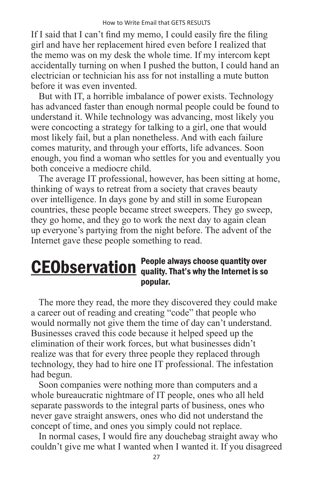If I said that I can't find my memo, I could easily fire the filing girl and have her replacement hired even before I realized that the memo was on my desk the whole time. If my intercom kept accidentally turning on when I pushed the button, I could hand an electrician or technician his ass for not installing a mute button before it was even invented.

But with IT, a horrible imbalance of power exists. Technology has advanced faster than enough normal people could be found to understand it. While technology was advancing, most likely you were concocting a strategy for talking to a girl, one that would most likely fail, but a plan nonetheless. And with each failure comes maturity, and through your efforts, life advances. Soon enough, you find a woman who settles for you and eventually you both conceive a mediocre child.

The average IT professional, however, has been sitting at home, thinking of ways to retreat from a society that craves beauty over intelligence. In days gone by and still in some European countries, these people became street sweepers. They go sweep, they go home, and they go to work the next day to again clean up everyone's partying from the night before. The advent of the Internet gave these people something to read.

#### People always choose quantity over **CEObservation** People always choose quantity over popular.

The more they read, the more they discovered they could make a career out of reading and creating "code" that people who would normally not give them the time of day can't understand. Businesses craved this code because it helped speed up the elimination of their work forces, but what businesses didn't realize was that for every three people they replaced through technology, they had to hire one IT professional. The infestation had begun.

Soon companies were nothing more than computers and a whole bureaucratic nightmare of IT people, ones who all held separate passwords to the integral parts of business, ones who never gave straight answers, ones who did not understand the concept of time, and ones you simply could not replace.

In normal cases, I would fire any douchebag straight away who couldn't give me what I wanted when I wanted it. If you disagreed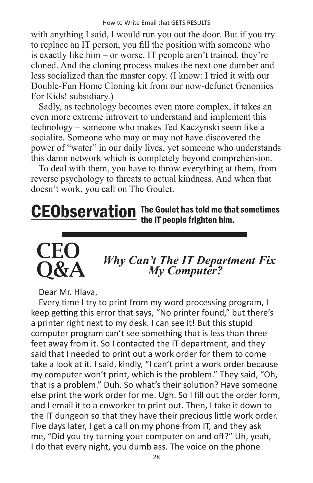with anything I said, I would run you out the door. But if you try to replace an IT person, you fill the position with someone who is exactly like him – or worse. IT people aren't trained, they're cloned. And the cloning process makes the next one dumber and less socialized than the master copy. (I know: I tried it with our Double-Fun Home Cloning kit from our now-defunct Genomics For Kids! subsidiary.)

Sadly, as technology becomes even more complex, it takes an even more extreme introvert to understand and implement this technology – someone who makes Ted Kaczynski seem like a socialite. Someone who may or may not have discovered the power of "water" in our daily lives, yet someone who understands this damn network which is completely beyond comprehension.

To deal with them, you have to throw everything at them, from reverse psychology to threats to actual kindness. And when that doesn't work, you call on The Goulet.

#### **CEObservation** The Goulet has told me that sometimes the IT people frighten him.



# *Why Can't The IT Department Fix My Computer?*

Dear Mr. Hlava,

Every time I try to print from my word processing program, I keep getting this error that says, "No printer found," but there's a printer right next to my desk. I can see it! But this stupid computer program can't see something that is less than three feet away from it. So I contacted the IT department, and they said that I needed to print out a work order for them to come take a look at it. I said, kindly, "I can't print a work order because my computer won't print, which is the problem." They said, "Oh, that is a problem." Duh. So what's their solution? Have someone else print the work order for me. Ugh. So I fill out the order form, and I email it to a coworker to print out. Then, I take it down to the IT dungeon so that they have their precious little work order. Five days later, I get a call on my phone from IT, and they ask me, "Did you try turning your computer on and off?" Uh, yeah, I do that every night, you dumb ass. The voice on the phone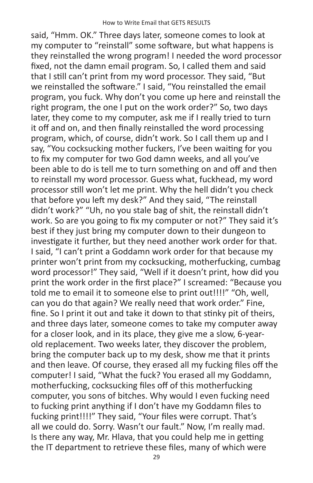said, "Hmm. OK." Three days later, someone comes to look at my computer to "reinstall" some software, but what happens is they reinstalled the wrong program! I needed the word processor fixed, not the damn email program. So, I called them and said that I still can't print from my word processor. They said, "But we reinstalled the software." I said, "You reinstalled the email program, you fuck. Why don't you come up here and reinstall the right program, the one I put on the work order?" So, two days later, they come to my computer, ask me if I really tried to turn it off and on, and then finally reinstalled the word processing program, which, of course, didn't work. So I call them up and I say, "You cocksucking mother fuckers, I've been waiting for you to fix my computer for two God damn weeks, and all you've been able to do is tell me to turn something on and off and then to reinstall my word processor. Guess what, fuckhead, my word processor still won't let me print. Why the hell didn't you check that before you left my desk?" And they said, "The reinstall didn't work?" "Uh, no you stale bag of shit, the reinstall didn't work. So are you going to fix my computer or not?" They said it's best if they just bring my computer down to their dungeon to investigate it further, but they need another work order for that. I said, "I can't print a Goddamn work order for that because my printer won't print from my cocksucking, motherfucking, cumbag word processor!" They said, "Well if it doesn't print, how did you print the work order in the first place?" I screamed: "Because you told me to email it to someone else to print out!!!!" "Oh, well, can you do that again? We really need that work order." Fine, fine. So I print it out and take it down to that stinky pit of theirs, and three days later, someone comes to take my computer away for a closer look, and in its place, they give me a slow, 6-yearold replacement. Two weeks later, they discover the problem, bring the computer back up to my desk, show me that it prints and then leave. Of course, they erased all my fucking files off the computer! I said, "What the fuck? You erased all my Goddamn, motherfucking, cocksucking files off of this motherfucking computer, you sons of bitches. Why would I even fucking need to fucking print anything if I don't have my Goddamn files to fucking print!!!!" They said, "Your files were corrupt. That's all we could do. Sorry. Wasn't our fault." Now, I'm really mad. Is there any way, Mr. Hlava, that you could help me in getting the IT department to retrieve these files, many of which were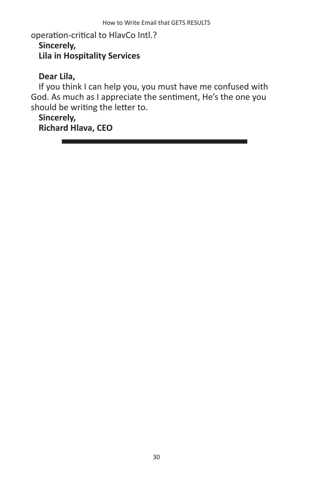operation-critical to HlavCo Intl.? **Sincerely, Lila in Hospitality Services**

#### **Dear Lila,**

If you think I can help you, you must have me confused with God. As much as I appreciate the sentiment, He's the one you should be writing the letter to.

#### **Sincerely,**

**Richard Hlava, CEO**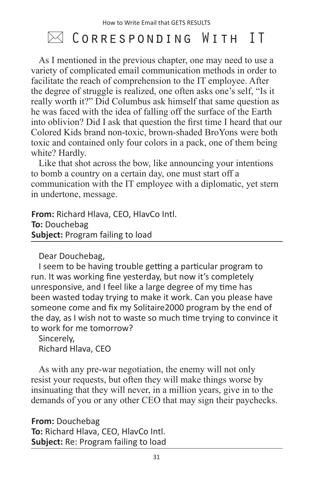## $\boxtimes$  Corresponding With IT

As I mentioned in the previous chapter, one may need to use a variety of complicated email communication methods in order to facilitate the reach of comprehension to the IT employee. After the degree of struggle is realized, one often asks one's self, "Is it really worth it?" Did Columbus ask himself that same question as he was faced with the idea of falling off the surface of the Earth into oblivion? Did I ask that question the first time I heard that our Colored Kids brand non-toxic, brown-shaded BroYons were both toxic and contained only four colors in a pack, one of them being white? Hardly.

Like that shot across the bow, like announcing your intentions to bomb a country on a certain day, one must start off a communication with the IT employee with a diplomatic, yet stern in undertone, message.

**From:** Richard Hlava, CEO, HlavCo Intl. **To:** Douchebag **Subject:** Program failing to load

Dear Douchebag,

I seem to be having trouble getting a particular program to run. It was working fine yesterday, but now it's completely unresponsive, and I feel like a large degree of my time has been wasted today trying to make it work. Can you please have someone come and fix my Solitaire2000 program by the end of the day, as I wish not to waste so much time trying to convince it to work for me tomorrow?

Sincerely, Richard Hlava, CEO

As with any pre-war negotiation, the enemy will not only resist your requests, but often they will make things worse by insinuating that they will never, in a million years, give in to the demands of you or any other CEO that may sign their paychecks.

**From:** Douchebag **To:** Richard Hlava, CEO, HlavCo Intl. **Subject:** Re: Program failing to load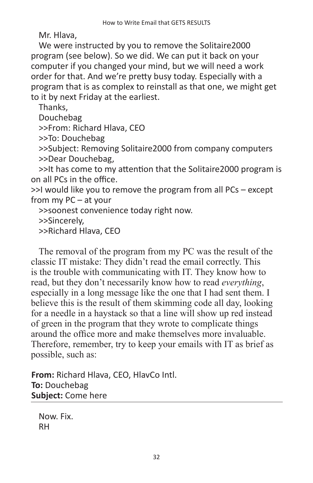Mr. Hlava,

We were instructed by you to remove the Solitaire2000 program (see below). So we did. We can put it back on your computer if you changed your mind, but we will need a work order for that. And we're pretty busy today. Especially with a program that is as complex to reinstall as that one, we might get to it by next Friday at the earliest.

Thanks,

Douchebag

>>From: Richard Hlava, CEO

>>To: Douchebag

>>Subject: Removing Solitaire2000 from company computers >>Dear Douchebag,

>>It has come to my attention that the Solitaire2000 program is on all PCs in the office.

>>I would like you to remove the program from all PCs – except from my PC – at your

>>soonest convenience today right now.

>>Sincerely,

>>Richard Hlava, CEO

The removal of the program from my PC was the result of the classic IT mistake: They didn't read the email correctly. This is the trouble with communicating with IT. They know how to read, but they don't necessarily know how to read *everything*, especially in a long message like the one that I had sent them. I believe this is the result of them skimming code all day, looking for a needle in a haystack so that a line will show up red instead of green in the program that they wrote to complicate things around the office more and make themselves more invaluable. Therefore, remember, try to keep your emails with IT as brief as possible, such as:

**From:** Richard Hlava, CEO, HlavCo Intl. **To:** Douchebag **Subject:** Come here

Now. Fix. RH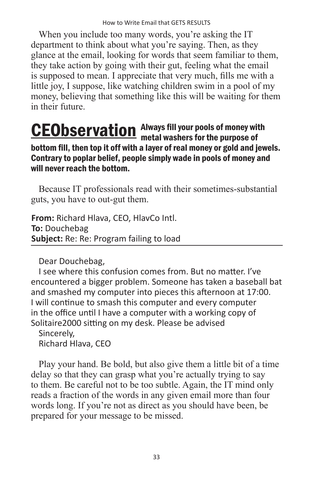When you include too many words, you're asking the IT department to think about what you're saying. Then, as they glance at the email, looking for words that seem familiar to them, they take action by going with their gut, feeling what the email is supposed to mean. I appreciate that very much, fills me with a little joy, I suppose, like watching children swim in a pool of my money, believing that something like this will be waiting for them in their future.

#### Always fill your pools of money with **CEObservation** Always fill your pools of money wit bottom fill, then top it off with a layer of real money or gold and jewels. Contrary to poplar belief, people simply wade in pools of money and will never reach the bottom.

Because IT professionals read with their sometimes-substantial guts, you have to out-gut them.

**From:** Richard Hlava, CEO, HlavCo Intl. **To:** Douchebag **Subject:** Re: Re: Program failing to load

Dear Douchebag,

I see where this confusion comes from. But no matter. I've encountered a bigger problem. Someone has taken a baseball bat and smashed my computer into pieces this afternoon at 17:00. I will continue to smash this computer and every computer in the office until I have a computer with a working copy of Solitaire2000 sitting on my desk. Please be advised

Sincerely, Richard Hlava, CEO

Play your hand. Be bold, but also give them a little bit of a time delay so that they can grasp what you're actually trying to say to them. Be careful not to be too subtle. Again, the IT mind only reads a fraction of the words in any given email more than four words long. If you're not as direct as you should have been, be prepared for your message to be missed.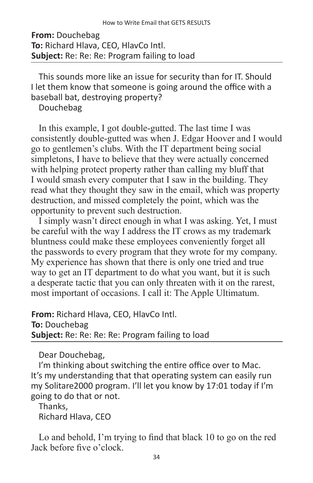#### **From:** Douchebag **To:** Richard Hlava, CEO, HlavCo Intl. **Subject:** Re: Re: Re: Program failing to load

This sounds more like an issue for security than for IT. Should I let them know that someone is going around the office with a baseball bat, destroying property?

Douchebag

In this example, I got double-gutted. The last time I was consistently double-gutted was when J. Edgar Hoover and I would go to gentlemen's clubs. With the IT department being social simpletons, I have to believe that they were actually concerned with helping protect property rather than calling my bluff that I would smash every computer that I saw in the building. They read what they thought they saw in the email, which was property destruction, and missed completely the point, which was the opportunity to prevent such destruction.

I simply wasn't direct enough in what I was asking. Yet, I must be careful with the way I address the IT crows as my trademark bluntness could make these employees conveniently forget all the passwords to every program that they wrote for my company. My experience has shown that there is only one tried and true way to get an IT department to do what you want, but it is such a desperate tactic that you can only threaten with it on the rarest, most important of occasions. I call it: The Apple Ultimatum.

**From:** Richard Hlava, CEO, HlavCo Intl. **To:** Douchebag **Subject:** Re: Re: Re: Re: Program failing to load

Dear Douchebag,

I'm thinking about switching the entire office over to Mac. It's my understanding that that operating system can easily run my Solitare2000 program. I'll let you know by 17:01 today if I'm going to do that or not.

Thanks,

Richard Hlava, CEO

Lo and behold, I'm trying to find that black 10 to go on the red Jack before five o'clock.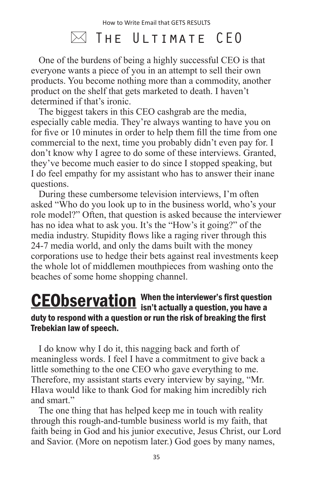### $\bowtie$  The Ultimate CEO

One of the burdens of being a highly successful CEO is that everyone wants a piece of you in an attempt to sell their own products. You become nothing more than a commodity, another product on the shelf that gets marketed to death. I haven't determined if that's ironic.

The biggest takers in this CEO cashgrab are the media, especially cable media. They're always wanting to have you on for five or 10 minutes in order to help them fill the time from one commercial to the next, time you probably didn't even pay for. I don't know why I agree to do some of these interviews. Granted, they've become much easier to do since I stopped speaking, but I do feel empathy for my assistant who has to answer their inane questions.

During these cumbersome television interviews, I'm often asked "Who do you look up to in the business world, who's your role model?" Often, that question is asked because the interviewer has no idea what to ask you. It's the "How's it going?" of the media industry. Stupidity flows like a raging river through this 24-7 media world, and only the dams built with the money corporations use to hedge their bets against real investments keep the whole lot of middlemen mouthpieces from washing onto the beaches of some home shopping channel.

#### When the interviewer's first question **CEObservation** When the interviewer's first question<br>isn't actually a question, you have a duty to respond with a question or run the risk of breaking the first Trebekian law of speech.

I do know why I do it, this nagging back and forth of meaningless words. I feel I have a commitment to give back a little something to the one CEO who gave everything to me. Therefore, my assistant starts every interview by saying, "Mr. Hlava would like to thank God for making him incredibly rich and smart"

The one thing that has helped keep me in touch with reality through this rough-and-tumble business world is my faith, that faith being in God and his junior executive, Jesus Christ, our Lord and Savior. (More on nepotism later.) God goes by many names,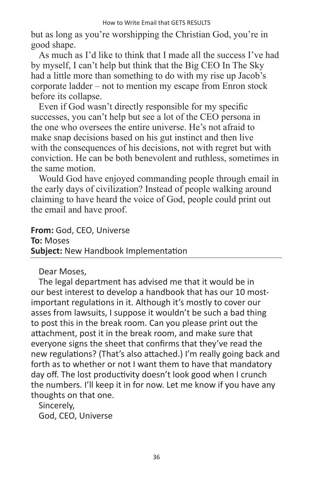but as long as you're worshipping the Christian God, you're in good shape.

As much as I'd like to think that I made all the success I've had by myself, I can't help but think that the Big CEO In The Sky had a little more than something to do with my rise up Jacob's corporate ladder – not to mention my escape from Enron stock before its collapse.

Even if God wasn't directly responsible for my specific successes, you can't help but see a lot of the CEO persona in the one who oversees the entire universe. He's not afraid to make snap decisions based on his gut instinct and then live with the consequences of his decisions, not with regret but with conviction. He can be both benevolent and ruthless, sometimes in the same motion.

Would God have enjoyed commanding people through email in the early days of civilization? Instead of people walking around claiming to have heard the voice of God, people could print out the email and have proof.

**From:** God, CEO, Universe **To:** Moses **Subject:** New Handbook Implementation

Dear Moses,

The legal department has advised me that it would be in our best interest to develop a handbook that has our 10 mostimportant regulations in it. Although it's mostly to cover our asses from lawsuits, I suppose it wouldn't be such a bad thing to post this in the break room. Can you please print out the attachment, post it in the break room, and make sure that everyone signs the sheet that confirms that they've read the new regulations? (That's also attached.) I'm really going back and forth as to whether or not I want them to have that mandatory day off. The lost productivity doesn't look good when I crunch the numbers. I'll keep it in for now. Let me know if you have any thoughts on that one.

Sincerely, God, CEO, Universe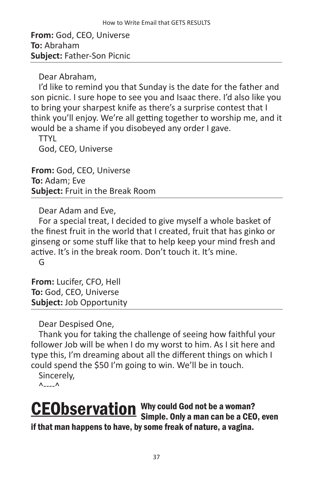**From:** God, CEO, Universe **To:** Abraham **Subject:** Father-Son Picnic

Dear Abraham,

I'd like to remind you that Sunday is the date for the father and son picnic. I sure hope to see you and Isaac there. I'd also like you to bring your sharpest knife as there's a surprise contest that I think you'll enjoy. We're all getting together to worship me, and it would be a shame if you disobeyed any order I gave.

TTYL God, CEO, Universe

**From:** God, CEO, Universe **To:** Adam; Eve **Subject:** Fruit in the Break Room

Dear Adam and Eve,

For a special treat, I decided to give myself a whole basket of the finest fruit in the world that I created, fruit that has ginko or ginseng or some stuff like that to help keep your mind fresh and active. It's in the break room. Don't touch it. It's mine. G

**From:** Lucifer, CFO, Hell **To:** God, CEO, Universe **Subject:** Job Opportunity

Dear Despised One,

Thank you for taking the challenge of seeing how faithful your follower Job will be when I do my worst to him. As I sit here and type this, I'm dreaming about all the different things on which I could spend the \$50 I'm going to win. We'll be in touch.

Sincerely,

 $\wedge$ --- $\wedge$ 

**CEObservation** Why could God not be a woman? Simple. Only a man can be a CEO, even if that man happens to have, by some freak of nature, a vagina.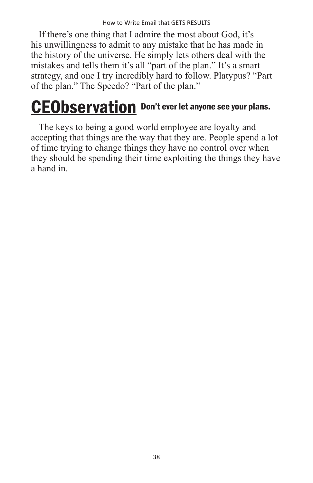If there's one thing that I admire the most about God, it's his unwillingness to admit to any mistake that he has made in the history of the universe. He simply lets others deal with the mistakes and tells them it's all "part of the plan." It's a smart strategy, and one I try incredibly hard to follow. Platypus? "Part of the plan." The Speedo? "Part of the plan."

# CEObservation Don't ever let anyone see your plans.

The keys to being a good world employee are loyalty and accepting that things are the way that they are. People spend a lot of time trying to change things they have no control over when they should be spending their time exploiting the things they have a hand in.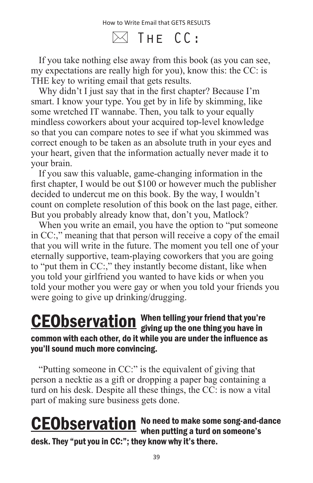$\boxtimes$  The CC:

If you take nothing else away from this book (as you can see, my expectations are really high for you), know this: the CC: is THE key to writing email that gets results.

Why didn't I just say that in the first chapter? Because I'm smart. I know your type. You get by in life by skimming, like some wretched IT wannabe. Then, you talk to your equally mindless coworkers about your acquired top-level knowledge so that you can compare notes to see if what you skimmed was correct enough to be taken as an absolute truth in your eyes and your heart, given that the information actually never made it to your brain.

If you saw this valuable, game-changing information in the first chapter, I would be out \$100 or however much the publisher decided to undercut me on this book. By the way, I wouldn't count on complete resolution of this book on the last page, either. But you probably already know that, don't you, Matlock?

When you write an email, you have the option to "put someone in CC:," meaning that that person will receive a copy of the email that you will write in the future. The moment you tell one of your eternally supportive, team-playing coworkers that you are going to "put them in CC:," they instantly become distant, like when you told your girlfriend you wanted to have kids or when you told your mother you were gay or when you told your friends you were going to give up drinking/drugging.

#### When telling your friend that you're **CEObservation** When telling your friend that you're<br>giving up the one thing you have in common with each other, do it while you are under the influence as you'll sound much more convincing.

"Putting someone in CC:" is the equivalent of giving that person a necktie as a gift or dropping a paper bag containing a turd on his desk. Despite all these things, the CC: is now a vital part of making sure business gets done.

#### No need to make some song-and-dance **CEObservation** No need to make some song-and-d<br>when putting a turd on someone's desk. They "put you in CC:"; they know why it's there.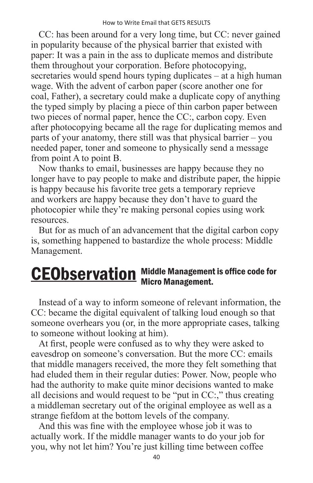CC: has been around for a very long time, but CC: never gained in popularity because of the physical barrier that existed with paper: It was a pain in the ass to duplicate memos and distribute them throughout your corporation. Before photocopying, secretaries would spend hours typing duplicates – at a high human wage. With the advent of carbon paper (score another one for coal, Father), a secretary could make a duplicate copy of anything the typed simply by placing a piece of thin carbon paper between two pieces of normal paper, hence the CC:, carbon copy. Even after photocopying became all the rage for duplicating memos and parts of your anatomy, there still was that physical barrier – you needed paper, toner and someone to physically send a message from point A to point B.

Now thanks to email, businesses are happy because they no longer have to pay people to make and distribute paper, the hippie is happy because his favorite tree gets a temporary reprieve and workers are happy because they don't have to guard the photocopier while they're making personal copies using work resources.

But for as much of an advancement that the digital carbon copy is, something happened to bastardize the whole process: Middle Management.

### Middle Management is office code for **CEObservation** Middle Management.

Instead of a way to inform someone of relevant information, the CC: became the digital equivalent of talking loud enough so that someone overhears you (or, in the more appropriate cases, talking to someone without looking at him).

At first, people were confused as to why they were asked to eavesdrop on someone's conversation. But the more CC: emails that middle managers received, the more they felt something that had eluded them in their regular duties: Power. Now, people who had the authority to make quite minor decisions wanted to make all decisions and would request to be "put in CC:," thus creating a middleman secretary out of the original employee as well as a strange fiefdom at the bottom levels of the company.

And this was fine with the employee whose job it was to actually work. If the middle manager wants to do your job for you, why not let him? You're just killing time between coffee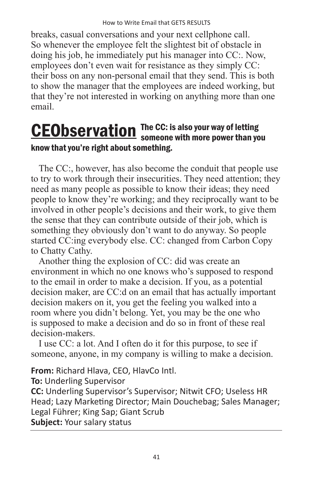breaks, casual conversations and your next cellphone call. So whenever the employee felt the slightest bit of obstacle in doing his job, he immediately put his manager into CC:. Now, employees don't even wait for resistance as they simply CC: their boss on any non-personal email that they send. This is both to show the manager that the employees are indeed working, but that they're not interested in working on anything more than one email.

#### The CC: is also your way of letting **CEObservation** The CC: is also your way of letting<br>someone with more power than you know that you're right about something.

The CC:, however, has also become the conduit that people use to try to work through their insecurities. They need attention; they need as many people as possible to know their ideas; they need people to know they're working; and they reciprocally want to be involved in other people's decisions and their work, to give them the sense that they can contribute outside of their job, which is something they obviously don't want to do anyway. So people started CC:ing everybody else. CC: changed from Carbon Copy to Chatty Cathy.

Another thing the explosion of CC: did was create an environment in which no one knows who's supposed to respond to the email in order to make a decision. If you, as a potential decision maker, are CC:d on an email that has actually important decision makers on it, you get the feeling you walked into a room where you didn't belong. Yet, you may be the one who is supposed to make a decision and do so in front of these real decision-makers.

I use CC: a lot. And I often do it for this purpose, to see if someone, anyone, in my company is willing to make a decision.

**From:** Richard Hlava, CEO, HlavCo Intl.

**To:** Underling Supervisor

**CC:** Underling Supervisor's Supervisor; Nitwit CFO; Useless HR Head; Lazy Marketing Director; Main Douchebag; Sales Manager; Legal Führer; King Sap; Giant Scrub **Subject:** Your salary status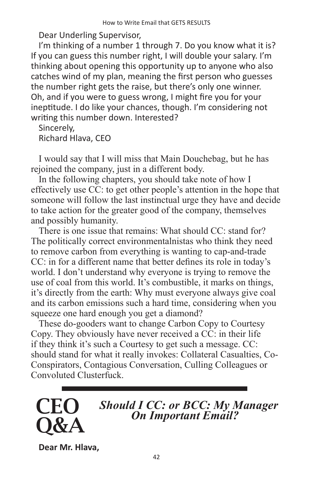Dear Underling Supervisor,

I'm thinking of a number 1 through 7. Do you know what it is? If you can guess this number right, I will double your salary. I'm thinking about opening this opportunity up to anyone who also catches wind of my plan, meaning the first person who guesses the number right gets the raise, but there's only one winner. Oh, and if you were to guess wrong, I might fire you for your ineptitude. I do like your chances, though. I'm considering not writing this number down. Interested?

Sincerely, Richard Hlava, CEO

I would say that I will miss that Main Douchebag, but he has rejoined the company, just in a different body.

In the following chapters, you should take note of how I effectively use CC: to get other people's attention in the hope that someone will follow the last instinctual urge they have and decide to take action for the greater good of the company, themselves and possibly humanity.

There is one issue that remains: What should CC: stand for? The politically correct environmentalnistas who think they need to remove carbon from everything is wanting to cap-and-trade CC: in for a different name that better defines its role in today's world. I don't understand why everyone is trying to remove the use of coal from this world. It's combustible, it marks on things, it's directly from the earth: Why must everyone always give coal and its carbon emissions such a hard time, considering when you squeeze one hard enough you get a diamond?

These do-gooders want to change Carbon Copy to Courtesy Copy. They obviously have never received a CC: in their life if they think it's such a Courtesy to get such a message. CC: should stand for what it really invokes: Collateral Casualties, Co-Conspirators, Contagious Conversation, Culling Colleagues or Convoluted Clusterfuck.



**Dear Mr. Hlava,**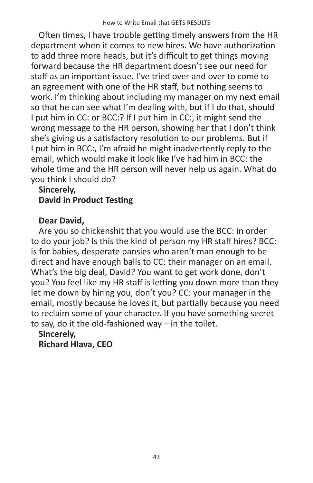Often times, I have trouble getting timely answers from the HR department when it comes to new hires. We have authorization to add three more heads, but it's difficult to get things moving forward because the HR department doesn't see our need for staff as an important issue. I've tried over and over to come to an agreement with one of the HR staff, but nothing seems to work. I'm thinking about including my manager on my next email so that he can see what I'm dealing with, but if I do that, should I put him in CC: or BCC:? If I put him in CC:, it might send the wrong message to the HR person, showing her that I don't think she's giving us a satisfactory resolution to our problems. But if I put him in BCC:, I'm afraid he might inadvertently reply to the email, which would make it look like I've had him in BCC: the whole time and the HR person will never help us again. What do you think I should do?

#### **Sincerely, David in Product Testing**

#### **Dear David,**

Are you so chickenshit that you would use the BCC: in order to do your job? Is this the kind of person my HR staff hires? BCC: is for babies, desperate pansies who aren't man enough to be direct and have enough balls to CC: their manager on an email. What's the big deal, David? You want to get work done, don't you? You feel like my HR staff is letting you down more than they let me down by hiring you, don't you? CC: your manager in the email, mostly because he loves it, but partially because you need to reclaim some of your character. If you have something secret to say, do it the old-fashioned way – in the toilet.

**Sincerely, Richard Hlava, CEO**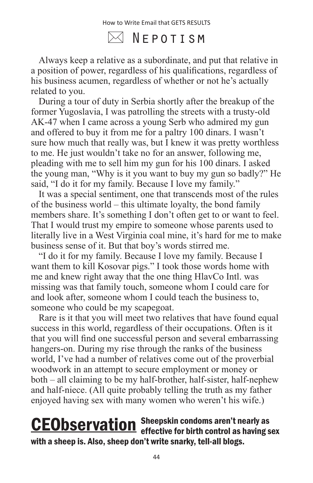$\boxtimes$  Nepotism

Always keep a relative as a subordinate, and put that relative in a position of power, regardless of his qualifications, regardless of his business acumen, regardless of whether or not he's actually related to you.

During a tour of duty in Serbia shortly after the breakup of the former Yugoslavia, I was patrolling the streets with a trusty-old AK-47 when I came across a young Serb who admired my gun and offered to buy it from me for a paltry 100 dinars. I wasn't sure how much that really was, but I knew it was pretty worthless to me. He just wouldn't take no for an answer, following me, pleading with me to sell him my gun for his 100 dinars. I asked the young man, "Why is it you want to buy my gun so badly?" He said, "I do it for my family. Because I love my family."

It was a special sentiment, one that transcends most of the rules of the business world – this ultimate loyalty, the bond family members share. It's something I don't often get to or want to feel. That I would trust my empire to someone whose parents used to literally live in a West Virginia coal mine, it's hard for me to make business sense of it. But that boy's words stirred me.

"I do it for my family. Because I love my family. Because I want them to kill Kosovar pigs." I took those words home with me and knew right away that the one thing HlavCo Intl. was missing was that family touch, someone whom I could care for and look after, someone whom I could teach the business to, someone who could be my scapegoat.

Rare is it that you will meet two relatives that have found equal success in this world, regardless of their occupations. Often is it that you will find one successful person and several embarrassing hangers-on. During my rise through the ranks of the business world, I've had a number of relatives come out of the proverbial woodwork in an attempt to secure employment or money or both – all claiming to be my half-brother, half-sister, half-nephew and half-niece. (All quite probably telling the truth as my father enjoyed having sex with many women who weren't his wife.)

#### Sheepskin condoms aren't nearly as **CEObservation** Sheepskin condoms aren't nearly as<br>effective for birth control as having sex with a sheep is. Also, sheep don't write snarky, tell-all blogs.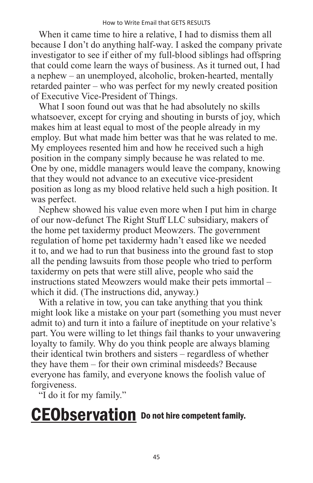When it came time to hire a relative, I had to dismiss them all because I don't do anything half-way. I asked the company private investigator to see if either of my full-blood siblings had offspring that could come learn the ways of business. As it turned out, I had a nephew – an unemployed, alcoholic, broken-hearted, mentally retarded painter – who was perfect for my newly created position of Executive Vice-President of Things.

What I soon found out was that he had absolutely no skills whatsoever, except for crying and shouting in bursts of joy, which makes him at least equal to most of the people already in my employ. But what made him better was that he was related to me. My employees resented him and how he received such a high position in the company simply because he was related to me. One by one, middle managers would leave the company, knowing that they would not advance to an executive vice-president position as long as my blood relative held such a high position. It was perfect.

Nephew showed his value even more when I put him in charge of our now-defunct The Right Stuff LLC subsidiary, makers of the home pet taxidermy product Meowzers. The government regulation of home pet taxidermy hadn't eased like we needed it to, and we had to run that business into the ground fast to stop all the pending lawsuits from those people who tried to perform taxidermy on pets that were still alive, people who said the instructions stated Meowzers would make their pets immortal – which it did. (The instructions did, anyway.)

With a relative in tow, you can take anything that you think might look like a mistake on your part (something you must never admit to) and turn it into a failure of ineptitude on your relative's part. You were willing to let things fail thanks to your unwavering loyalty to family. Why do you think people are always blaming their identical twin brothers and sisters – regardless of whether they have them – for their own criminal misdeeds? Because everyone has family, and everyone knows the foolish value of forgiveness.

"I do it for my family."

# CEObservation Do not hire competent family.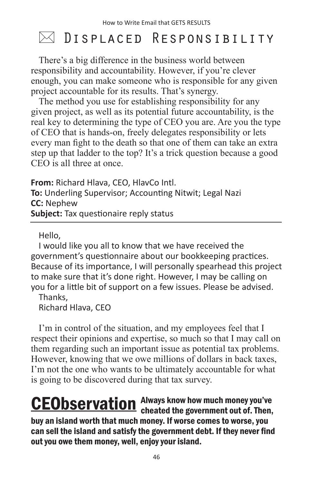## $\bowtie$  Displaced Responsibility

There's a big difference in the business world between responsibility and accountability. However, if you're clever enough, you can make someone who is responsible for any given project accountable for its results. That's synergy.

The method you use for establishing responsibility for any given project, as well as its potential future accountability, is the real key to determining the type of CEO you are. Are you the type of CEO that is hands-on, freely delegates responsibility or lets every man fight to the death so that one of them can take an extra step up that ladder to the top? It's a trick question because a good CEO is all three at once.

**From:** Richard Hlava, CEO, HlavCo Intl. **To:** Underling Supervisor; Accounting Nitwit; Legal Nazi **CC:** Nephew **Subject:** Tax questionaire reply status

Hello,

I would like you all to know that we have received the government's questionnaire about our bookkeeping practices. Because of its importance, I will personally spearhead this project to make sure that it's done right. However, I may be calling on you for a little bit of support on a few issues. Please be advised.

Thanks, Richard Hlava, CEO

I'm in control of the situation, and my employees feel that I respect their opinions and expertise, so much so that I may call on them regarding such an important issue as potential tax problems. However, knowing that we owe millions of dollars in back taxes, I'm not the one who wants to be ultimately accountable for what is going to be discovered during that tax survey.

Always know how much money you've **CEObservation** Always know how much money you've<br>cheated the government out of. Then, buy an island worth that much money. If worse comes to worse, you can sell the island and satisfy the government debt. If they never find out you owe them money, well, enjoy your island.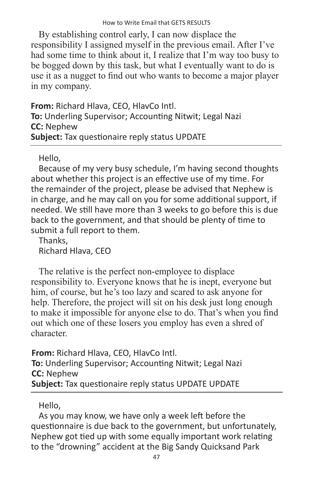#### How to Write Email that GETS RESULTS

By establishing control early, I can now displace the responsibility I assigned myself in the previous email. After I've had some time to think about it, I realize that I'm way too busy to be bogged down by this task, but what I eventually want to do is use it as a nugget to find out who wants to become a major player in my company.

**From:** Richard Hlava, CEO, HlavCo Intl. **To:** Underling Supervisor; Accounting Nitwit; Legal Nazi **CC:** Nephew **Subject:** Tax questionaire reply status UPDATE

Hello,

Because of my very busy schedule, I'm having second thoughts about whether this project is an effective use of my time. For the remainder of the project, please be advised that Nephew is in charge, and he may call on you for some additional support, if needed. We still have more than 3 weeks to go before this is due back to the government, and that should be plenty of time to submit a full report to them.

Thanks, Richard Hlava, CEO

The relative is the perfect non-employee to displace responsibility to. Everyone knows that he is inept, everyone but him, of course, but he's too lazy and scared to ask anyone for help. Therefore, the project will sit on his desk just long enough to make it impossible for anyone else to do. That's when you find out which one of these losers you employ has even a shred of character.

**From:** Richard Hlava, CEO, HlavCo Intl. **To:** Underling Supervisor; Accounting Nitwit; Legal Nazi **CC:** Nephew **Subject:** Tax questionaire reply status UPDATE UPDATE

Hello,

As you may know, we have only a week left before the questionnaire is due back to the government, but unfortunately, Nephew got tied up with some equally important work relating to the "drowning" accident at the Big Sandy Quicksand Park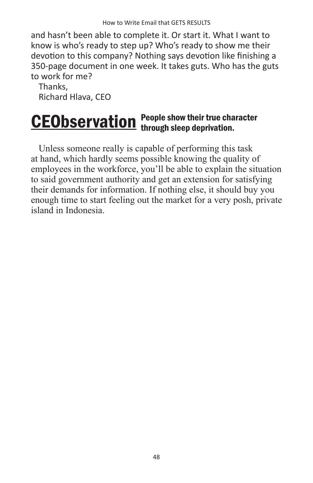and hasn't been able to complete it. Or start it. What I want to know is who's ready to step up? Who's ready to show me their devotion to this company? Nothing says devotion like finishing a 350-page document in one week. It takes guts. Who has the guts to work for me?

Thanks, Richard Hlava, CEO

#### People show their true character **CEObservation** People show their true cha

Unless someone really is capable of performing this task at hand, which hardly seems possible knowing the quality of employees in the workforce, you'll be able to explain the situation to said government authority and get an extension for satisfying their demands for information. If nothing else, it should buy you enough time to start feeling out the market for a very posh, private island in Indonesia.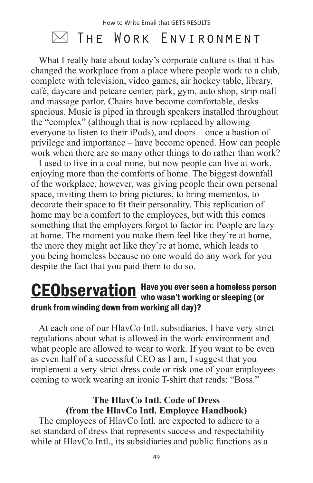### $\bowtie$  The Work Environment

What I really hate about today's corporate culture is that it has changed the workplace from a place where people work to a club, complete with television, video games, air hockey table, library, café, daycare and petcare center, park, gym, auto shop, strip mall and massage parlor. Chairs have become comfortable, desks spacious. Music is piped in through speakers installed throughout the "complex" (although that is now replaced by allowing everyone to listen to their iPods), and doors – once a bastion of privilege and importance – have become opened. How can people work when there are so many other things to do rather than work?

I used to live in a coal mine, but now people can live at work, enjoying more than the comforts of home. The biggest downfall of the workplace, however, was giving people their own personal space, inviting them to bring pictures, to bring mementos, to decorate their space to fit their personality. This replication of home may be a comfort to the employees, but with this comes something that the employers forgot to factor in: People are lazy at home. The moment you make them feel like they're at home, the more they might act like they're at home, which leads to you being homeless because no one would do any work for you despite the fact that you paid them to do so.

#### Have you ever seen a homeless person **CEObservation** Have you ever seen a homeless pers<br>who wasn't working or sleeping (or drunk from winding down from working all day)?

At each one of our HlavCo Intl. subsidiaries, I have very strict regulations about what is allowed in the work environment and what people are allowed to wear to work. If you want to be even as even half of a successful CEO as I am, I suggest that you implement a very strict dress code or risk one of your employees coming to work wearing an ironic T-shirt that reads: "Boss."

#### **The HlavCo Intl. Code of Dress (from the HlavCo Intl. Employee Handbook)**

The employees of HlavCo Intl. are expected to adhere to a set standard of dress that represents success and respectability while at HlavCo Intl., its subsidiaries and public functions as a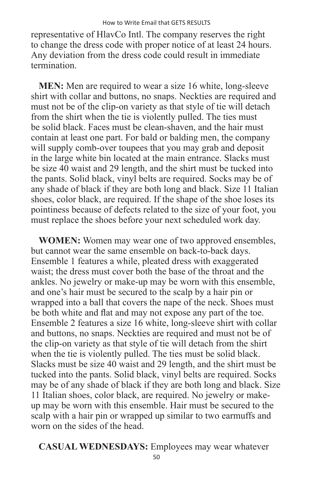representative of HlavCo Intl. The company reserves the right to change the dress code with proper notice of at least 24 hours. Any deviation from the dress code could result in immediate termination.

**MEN:** Men are required to wear a size 16 white, long-sleeve shirt with collar and buttons, no snaps. Neckties are required and must not be of the clip-on variety as that style of tie will detach from the shirt when the tie is violently pulled. The ties must be solid black. Faces must be clean-shaven, and the hair must contain at least one part. For bald or balding men, the company will supply comb-over toupees that you may grab and deposit in the large white bin located at the main entrance. Slacks must be size 40 waist and 29 length, and the shirt must be tucked into the pants. Solid black, vinyl belts are required. Socks may be of any shade of black if they are both long and black. Size 11 Italian shoes, color black, are required. If the shape of the shoe loses its pointiness because of defects related to the size of your foot, you must replace the shoes before your next scheduled work day.

**WOMEN:** Women may wear one of two approved ensembles, but cannot wear the same ensemble on back-to-back days. Ensemble 1 features a while, pleated dress with exaggerated waist; the dress must cover both the base of the throat and the ankles. No jewelry or make-up may be worn with this ensemble, and one's hair must be secured to the scalp by a hair pin or wrapped into a ball that covers the nape of the neck. Shoes must be both white and flat and may not expose any part of the toe. Ensemble 2 features a size 16 white, long-sleeve shirt with collar and buttons, no snaps. Neckties are required and must not be of the clip-on variety as that style of tie will detach from the shirt when the tie is violently pulled. The ties must be solid black. Slacks must be size 40 waist and 29 length, and the shirt must be tucked into the pants. Solid black, vinyl belts are required. Socks may be of any shade of black if they are both long and black. Size 11 Italian shoes, color black, are required. No jewelry or makeup may be worn with this ensemble. Hair must be secured to the scalp with a hair pin or wrapped up similar to two earmuffs and worn on the sides of the head.

**CASUAL WEDNESDAYS:** Employees may wear whatever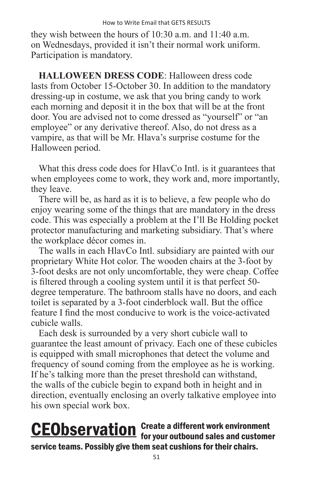they wish between the hours of 10:30 a.m. and 11:40 a.m. on Wednesdays, provided it isn't their normal work uniform. Participation is mandatory.

**HALLOWEEN DRESS CODE**: Halloween dress code lasts from October 15-October 30. In addition to the mandatory dressing-up in costume, we ask that you bring candy to work each morning and deposit it in the box that will be at the front door. You are advised not to come dressed as "yourself" or "an employee" or any derivative thereof. Also, do not dress as a vampire, as that will be Mr. Hlava's surprise costume for the Halloween period.

What this dress code does for HlavCo Intl. is it guarantees that when employees come to work, they work and, more importantly, they leave.

There will be, as hard as it is to believe, a few people who do enjoy wearing some of the things that are mandatory in the dress code. This was especially a problem at the I'll Be Holding pocket protector manufacturing and marketing subsidiary. That's where the workplace décor comes in.

The walls in each HlavCo Intl. subsidiary are painted with our proprietary White Hot color. The wooden chairs at the 3-foot by 3-foot desks are not only uncomfortable, they were cheap. Coffee is filtered through a cooling system until it is that perfect 50 degree temperature. The bathroom stalls have no doors, and each toilet is separated by a 3-foot cinderblock wall. But the office feature I find the most conducive to work is the voice-activated cubicle walls.

Each desk is surrounded by a very short cubicle wall to guarantee the least amount of privacy. Each one of these cubicles is equipped with small microphones that detect the volume and frequency of sound coming from the employee as he is working. If he's talking more than the preset threshold can withstand, the walls of the cubicle begin to expand both in height and in direction, eventually enclosing an overly talkative employee into his own special work box.

#### Create a different work environment **CEObservation** Create a different work environment<br>for your outbound sales and customer service teams. Possibly give them seat cushions for their chairs.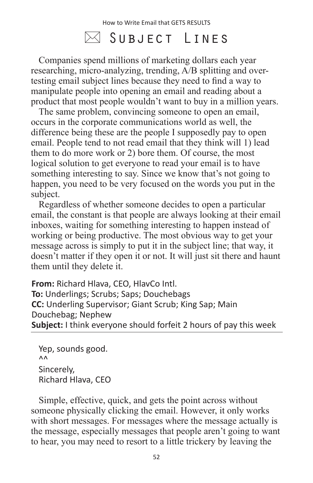### $\boxtimes$  Subject Lines

Companies spend millions of marketing dollars each year researching, micro-analyzing, trending, A/B splitting and overtesting email subject lines because they need to find a way to manipulate people into opening an email and reading about a product that most people wouldn't want to buy in a million years.

The same problem, convincing someone to open an email, occurs in the corporate communications world as well, the difference being these are the people I supposedly pay to open email. People tend to not read email that they think will 1) lead them to do more work or 2) bore them. Of course, the most logical solution to get everyone to read your email is to have something interesting to say. Since we know that's not going to happen, you need to be very focused on the words you put in the subject.

Regardless of whether someone decides to open a particular email, the constant is that people are always looking at their email inboxes, waiting for something interesting to happen instead of working or being productive. The most obvious way to get your message across is simply to put it in the subject line; that way, it doesn't matter if they open it or not. It will just sit there and haunt them until they delete it.

**From:** Richard Hlava, CEO, HlavCo Intl. **To:** Underlings; Scrubs; Saps; Douchebags **CC:** Underling Supervisor; Giant Scrub; King Sap; Main Douchebag; Nephew **Subject:** I think everyone should forfeit 2 hours of pay this week

Yep, sounds good.  $\Lambda$ <sup> $\Lambda$ </sup> Sincerely, Richard Hlava, CEO

Simple, effective, quick, and gets the point across without someone physically clicking the email. However, it only works with short messages. For messages where the message actually is the message, especially messages that people aren't going to want to hear, you may need to resort to a little trickery by leaving the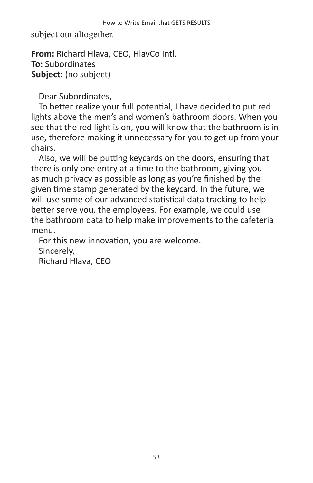subject out altogether.

**From:** Richard Hlava, CEO, HlavCo Intl. **To:** Subordinates **Subject:** (no subject)

Dear Subordinates,

To better realize your full potential, I have decided to put red lights above the men's and women's bathroom doors. When you see that the red light is on, you will know that the bathroom is in use, therefore making it unnecessary for you to get up from your chairs.

Also, we will be putting keycards on the doors, ensuring that there is only one entry at a time to the bathroom, giving you as much privacy as possible as long as you're finished by the given time stamp generated by the keycard. In the future, we will use some of our advanced statistical data tracking to help better serve you, the employees. For example, we could use the bathroom data to help make improvements to the cafeteria menu.

For this new innovation, you are welcome. Sincerely,

Richard Hlava, CEO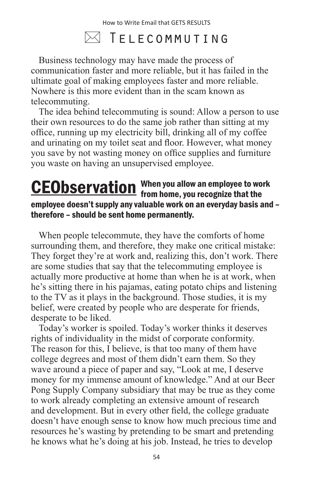### $\bowtie$  Telecommuting

Business technology may have made the process of communication faster and more reliable, but it has failed in the ultimate goal of making employees faster and more reliable. Nowhere is this more evident than in the scam known as telecommuting.

The idea behind telecommuting is sound: Allow a person to use their own resources to do the same job rather than sitting at my office, running up my electricity bill, drinking all of my coffee and urinating on my toilet seat and floor. However, what money you save by not wasting money on office supplies and furniture you waste on having an unsupervised employee.

#### When you allow an employee to work **CEObservation** When you allow an employee to wo<br>from home, you recognize that the employee doesn't supply any valuable work on an everyday basis and – therefore – should be sent home permanently.

When people telecommute, they have the comforts of home surrounding them, and therefore, they make one critical mistake: They forget they're at work and, realizing this, don't work. There are some studies that say that the telecommuting employee is actually more productive at home than when he is at work, when he's sitting there in his pajamas, eating potato chips and listening to the TV as it plays in the background. Those studies, it is my belief, were created by people who are desperate for friends, desperate to be liked.

Today's worker is spoiled. Today's worker thinks it deserves rights of individuality in the midst of corporate conformity. The reason for this, I believe, is that too many of them have college degrees and most of them didn't earn them. So they wave around a piece of paper and say, "Look at me, I deserve money for my immense amount of knowledge." And at our Beer Pong Supply Company subsidiary that may be true as they come to work already completing an extensive amount of research and development. But in every other field, the college graduate doesn't have enough sense to know how much precious time and resources he's wasting by pretending to be smart and pretending he knows what he's doing at his job. Instead, he tries to develop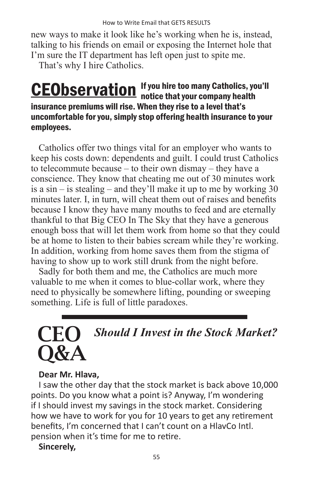new ways to make it look like he's working when he is, instead, talking to his friends on email or exposing the Internet hole that I'm sure the IT department has left open just to spite me.

That's why I hire Catholics.

#### If you hire too many Catholics, you'll **CEObservation** If you hire too many Catholics, your company health insurance premiums will rise. When they rise to a level that's uncomfortable for you, simply stop offering health insurance to your employees.

Catholics offer two things vital for an employer who wants to keep his costs down: dependents and guilt. I could trust Catholics to telecommute because – to their own dismay – they have a conscience. They know that cheating me out of 30 minutes work is a sin – is stealing – and they'll make it up to me by working 30 minutes later. I, in turn, will cheat them out of raises and benefits because I know they have many mouths to feed and are eternally thankful to that Big CEO In The Sky that they have a generous enough boss that will let them work from home so that they could be at home to listen to their babies scream while they're working. In addition, working from home saves them from the stigma of having to show up to work still drunk from the night before.

Sadly for both them and me, the Catholics are much more valuable to me when it comes to blue-collar work, where they need to physically be somewhere lifting, pounding or sweeping something. Life is full of little paradoxes.

### *Should I Invest in the Stock Market?*  **CEO** O&A

#### **Dear Mr. Hlava,**

I saw the other day that the stock market is back above 10,000 points. Do you know what a point is? Anyway, I'm wondering if I should invest my savings in the stock market. Considering how we have to work for you for 10 years to get any retirement benefits, I'm concerned that I can't count on a HlavCo Intl. pension when it's time for me to retire.

#### **Sincerely,**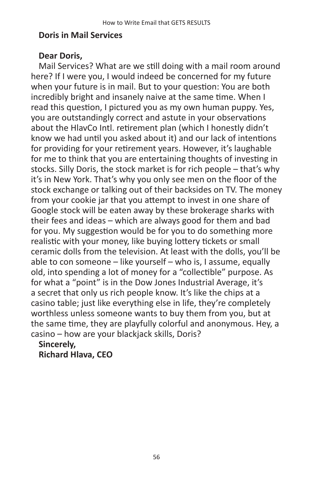#### **Doris in Mail Services**

#### **Dear Doris,**

Mail Services? What are we still doing with a mail room around here? If I were you, I would indeed be concerned for my future when your future is in mail. But to your question: You are both incredibly bright and insanely naive at the same time. When I read this question, I pictured you as my own human puppy. Yes, you are outstandingly correct and astute in your observations about the HlavCo Intl. retirement plan (which I honestly didn't know we had until you asked about it) and our lack of intentions for providing for your retirement years. However, it's laughable for me to think that you are entertaining thoughts of investing in stocks. Silly Doris, the stock market is for rich people – that's why it's in New York. That's why you only see men on the floor of the stock exchange or talking out of their backsides on TV. The money from your cookie jar that you attempt to invest in one share of Google stock will be eaten away by these brokerage sharks with their fees and ideas – which are always good for them and bad for you. My suggestion would be for you to do something more realistic with your money, like buying lottery tickets or small ceramic dolls from the television. At least with the dolls, you'll be able to con someone – like yourself – who is, I assume, equally old, into spending a lot of money for a "collectible" purpose. As for what a "point" is in the Dow Jones Industrial Average, it's a secret that only us rich people know. It's like the chips at a casino table; just like everything else in life, they're completely worthless unless someone wants to buy them from you, but at the same time, they are playfully colorful and anonymous. Hey, a casino – how are your blackjack skills, Doris?

**Sincerely, Richard Hlava, CEO**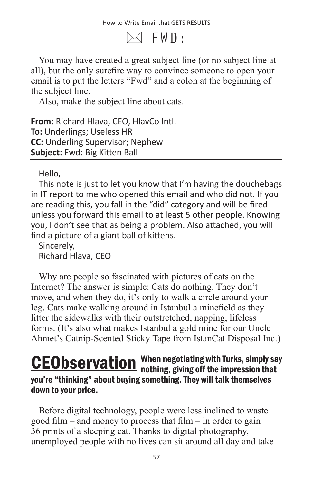$\bowtie$  FWD:

You may have created a great subject line (or no subject line at all), but the only surefire way to convince someone to open your email is to put the letters "Fwd" and a colon at the beginning of the subject line.

Also, make the subject line about cats.

**From:** Richard Hlava, CEO, HlavCo Intl. **To:** Underlings; Useless HR **CC:** Underling Supervisor; Nephew **Subject:** Fwd: Big Kitten Ball

Hello,

This note is just to let you know that I'm having the douchebags in IT report to me who opened this email and who did not. If you are reading this, you fall in the "did" category and will be fired unless you forward this email to at least 5 other people. Knowing you, I don't see that as being a problem. Also attached, you will find a picture of a giant ball of kittens.

Sincerely, Richard Hlava, CEO

Why are people so fascinated with pictures of cats on the Internet? The answer is simple: Cats do nothing. They don't move, and when they do, it's only to walk a circle around your leg. Cats make walking around in Istanbul a minefield as they litter the sidewalks with their outstretched, napping, lifeless forms. (It's also what makes Istanbul a gold mine for our Uncle Ahmet's Catnip-Scented Sticky Tape from IstanCat Disposal Inc.)

#### When negotiating with Turks, simply say **CEObservation** When negotiating with Turks, simply sa you're "thinking" about buying something. They will talk themselves down to your price.

Before digital technology, people were less inclined to waste good film – and money to process that film – in order to gain 36 prints of a sleeping cat. Thanks to digital photography, unemployed people with no lives can sit around all day and take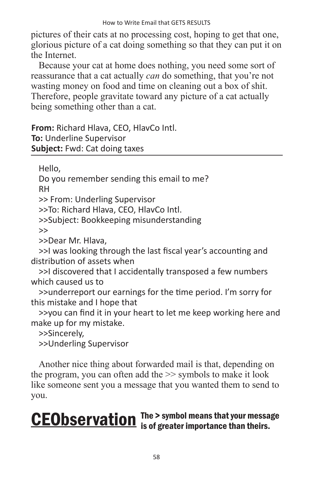pictures of their cats at no processing cost, hoping to get that one, glorious picture of a cat doing something so that they can put it on the Internet.

Because your cat at home does nothing, you need some sort of reassurance that a cat actually *can* do something, that you're not wasting money on food and time on cleaning out a box of shit. Therefore, people gravitate toward any picture of a cat actually being something other than a cat.

**From:** Richard Hlava, CEO, HlavCo Intl. **To:** Underline Supervisor **Subject:** Fwd: Cat doing taxes

Hello,

Do you remember sending this email to me? RH

>> From: Underling Supervisor

>>To: Richard Hlava, CEO, HlavCo Intl.

>>Subject: Bookkeeping misunderstanding

 $\rightarrow$ 

>>Dear Mr. Hlava,

>>I was looking through the last fiscal year's accounting and distribution of assets when

>>I discovered that I accidentally transposed a few numbers which caused us to

>>underreport our earnings for the time period. I'm sorry for this mistake and I hope that

>>you can find it in your heart to let me keep working here and make up for my mistake.

>>Sincerely,

>>Underling Supervisor

Another nice thing about forwarded mail is that, depending on the program, you can often add the >> symbols to make it look like someone sent you a message that you wanted them to send to you.

### The > symbol means that your message **CEObservation** The > symbol means that your messa<br>is of greater importance than theirs.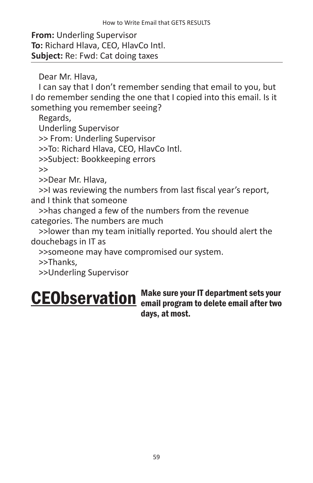**From:** Underling Supervisor **To:** Richard Hlava, CEO, HlavCo Intl. **Subject:** Re: Fwd: Cat doing taxes

Dear Mr. Hlava,

I can say that I don't remember sending that email to you, but I do remember sending the one that I copied into this email. Is it something you remember seeing?

Regards, Underling Supervisor >> From: Underling Supervisor >>To: Richard Hlava, CEO, HlavCo Intl. >>Subject: Bookkeeping errors >>

>>Dear Mr. Hlava,

>>I was reviewing the numbers from last fiscal year's report, and I think that someone

>>has changed a few of the numbers from the revenue categories. The numbers are much

>>lower than my team initially reported. You should alert the douchebags in IT as

>>someone may have compromised our system.

>>Thanks,

>>Underling Supervisor

#### Make sure your IT department sets your CEObservation Make sure your IT department sets your<br>
consist on all program to delete email after two days, at most.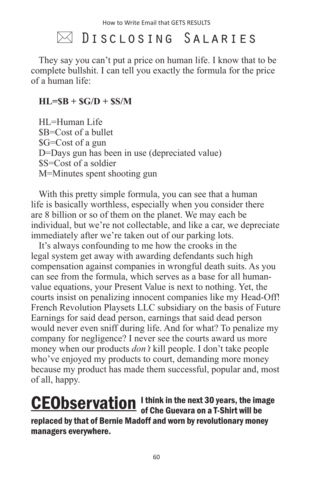### $\bowtie$  Disclosing Salaries

They say you can't put a price on human life. I know that to be complete bullshit. I can tell you exactly the formula for the price of a human life:

#### **HL=\$B + \$G/D + \$S/M**

HL=Human Life \$B=Cost of a bullet \$G=Cost of a gun D=Days gun has been in use (depreciated value) \$S=Cost of a soldier M=Minutes spent shooting gun

With this pretty simple formula, you can see that a human life is basically worthless, especially when you consider there are 8 billion or so of them on the planet. We may each be individual, but we're not collectable, and like a car, we depreciate immediately after we're taken out of our parking lots.

It's always confounding to me how the crooks in the legal system get away with awarding defendants such high compensation against companies in wrongful death suits. As you can see from the formula, which serves as a base for all humanvalue equations, your Present Value is next to nothing. Yet, the courts insist on penalizing innocent companies like my Head-Off! French Revolution Playsets LLC subsidiary on the basis of Future Earnings for said dead person, earnings that said dead person would never even sniff during life. And for what? To penalize my company for negligence? I never see the courts award us more money when our products *don't* kill people. I don't take people who've enjoyed my products to court, demanding more money because my product has made them successful, popular and, most of all, happy.

I think in the next 30 years, the image **CEObservation** I think in the next 30 years, the image of Che Guevara on a T-Shirt will be replaced by that of Bernie Madoff and worn by revolutionary money managers everywhere.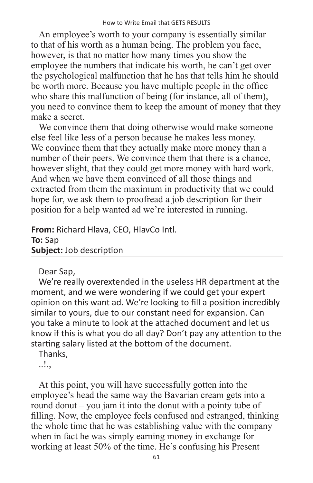An employee's worth to your company is essentially similar to that of his worth as a human being. The problem you face, however, is that no matter how many times you show the employee the numbers that indicate his worth, he can't get over the psychological malfunction that he has that tells him he should be worth more. Because you have multiple people in the office who share this malfunction of being (for instance, all of them), you need to convince them to keep the amount of money that they make a secret.

We convince them that doing otherwise would make someone else feel like less of a person because he makes less money. We convince them that they actually make more money than a number of their peers. We convince them that there is a chance, however slight, that they could get more money with hard work. And when we have them convinced of all those things and extracted from them the maximum in productivity that we could hope for, we ask them to proofread a job description for their position for a help wanted ad we're interested in running.

**From:** Richard Hlava, CEO, HlavCo Intl. **To:** Sap **Subject:** Job description

Dear Sap,

We're really overextended in the useless HR department at the moment, and we were wondering if we could get your expert opinion on this want ad. We're looking to fill a position incredibly similar to yours, due to our constant need for expansion. Can you take a minute to look at the attached document and let us know if this is what you do all day? Don't pay any attention to the starting salary listed at the bottom of the document.

Thanks,

..!.,

At this point, you will have successfully gotten into the employee's head the same way the Bavarian cream gets into a round donut – you jam it into the donut with a pointy tube of filling. Now, the employee feels confused and estranged, thinking the whole time that he was establishing value with the company when in fact he was simply earning money in exchange for working at least 50% of the time. He's confusing his Present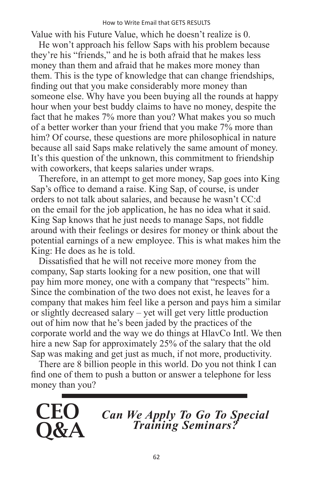#### How to Write Email that GETS RESULTS

Value with his Future Value, which he doesn't realize is 0.

He won't approach his fellow Saps with his problem because they're his "friends," and he is both afraid that he makes less money than them and afraid that he makes more money than them. This is the type of knowledge that can change friendships, finding out that you make considerably more money than someone else. Why have you been buying all the rounds at happy hour when your best buddy claims to have no money, despite the fact that he makes 7% more than you? What makes you so much of a better worker than your friend that you make 7% more than him? Of course, these questions are more philosophical in nature because all said Saps make relatively the same amount of money. It's this question of the unknown, this commitment to friendship with coworkers, that keeps salaries under wraps.

Therefore, in an attempt to get more money, Sap goes into King Sap's office to demand a raise. King Sap, of course, is under orders to not talk about salaries, and because he wasn't CC:d on the email for the job application, he has no idea what it said. King Sap knows that he just needs to manage Saps, not fiddle around with their feelings or desires for money or think about the potential earnings of a new employee. This is what makes him the King: He does as he is told.

Dissatisfied that he will not receive more money from the company, Sap starts looking for a new position, one that will pay him more money, one with a company that "respects" him. Since the combination of the two does not exist, he leaves for a company that makes him feel like a person and pays him a similar or slightly decreased salary – yet will get very little production out of him now that he's been jaded by the practices of the corporate world and the way we do things at HlavCo Intl. We then hire a new Sap for approximately 25% of the salary that the old Sap was making and get just as much, if not more, productivity.

There are 8 billion people in this world. Do you not think I can find one of them to push a button or answer a telephone for less money than you?



*Can We Apply To Go To Special Training Seminars?*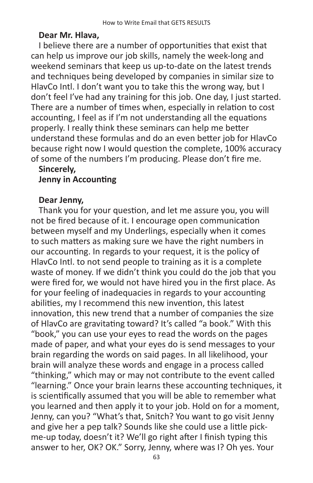#### **Dear Mr. Hlava,**

I believe there are a number of opportunities that exist that can help us improve our job skills, namely the week-long and weekend seminars that keep us up-to-date on the latest trends and techniques being developed by companies in similar size to HlavCo Intl. I don't want you to take this the wrong way, but I don't feel I've had any training for this job. One day, I just started. There are a number of times when, especially in relation to cost accounting, I feel as if I'm not understanding all the equations properly. I really think these seminars can help me better understand these formulas and do an even better job for HlavCo because right now I would question the complete, 100% accuracy of some of the numbers I'm producing. Please don't fire me.

#### **Sincerely, Jenny in Accounting**

#### **Dear Jenny,**

Thank you for your question, and let me assure you, you will not be fired because of it. I encourage open communication between myself and my Underlings, especially when it comes to such matters as making sure we have the right numbers in our accounting. In regards to your request, it is the policy of HlavCo Intl. to not send people to training as it is a complete waste of money. If we didn't think you could do the job that you were fired for, we would not have hired you in the first place. As for your feeling of inadequacies in regards to your accounting abilities, my I recommend this new invention, this latest innovation, this new trend that a number of companies the size of HlavCo are gravitating toward? It's called "a book." With this "book," you can use your eyes to read the words on the pages made of paper, and what your eyes do is send messages to your brain regarding the words on said pages. In all likelihood, your brain will analyze these words and engage in a process called "thinking," which may or may not contribute to the event called "learning." Once your brain learns these accounting techniques, it is scientifically assumed that you will be able to remember what you learned and then apply it to your job. Hold on for a moment, Jenny, can you? "What's that, Snitch? You want to go visit Jenny and give her a pep talk? Sounds like she could use a little pickme-up today, doesn't it? We'll go right after I finish typing this answer to her, OK? OK." Sorry, Jenny, where was I? Oh yes. Your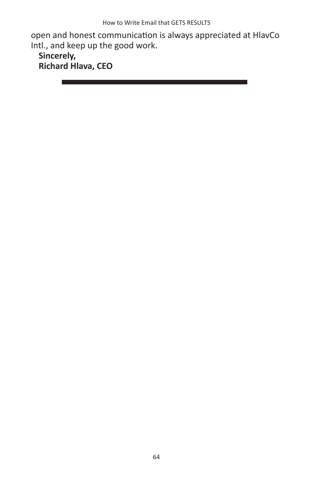open and honest communication is always appreciated at HlavCo Intl., and keep up the good work.

**Sincerely, Richard Hlava, CEO**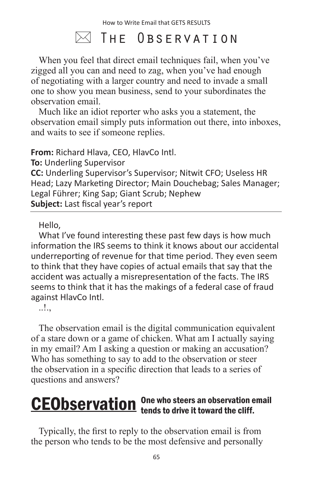### $\bowtie$  The Observation

When you feel that direct email techniques fail, when you've zigged all you can and need to zag, when you've had enough of negotiating with a larger country and need to invade a small one to show you mean business, send to your subordinates the observation email.

Much like an idiot reporter who asks you a statement, the observation email simply puts information out there, into inboxes, and waits to see if someone replies.

**From:** Richard Hlava, CEO, HlavCo Intl.

**To:** Underling Supervisor

**CC:** Underling Supervisor's Supervisor; Nitwit CFO; Useless HR Head; Lazy Marketing Director; Main Douchebag; Sales Manager; Legal Führer; King Sap; Giant Scrub; Nephew **Subject:** Last fiscal year's report

Hello,

What I've found interesting these past few days is how much information the IRS seems to think it knows about our accidental underreporting of revenue for that time period. They even seem to think that they have copies of actual emails that say that the accident was actually a misrepresentation of the facts. The IRS seems to think that it has the makings of a federal case of fraud against HlavCo Intl.

..!.,

The observation email is the digital communication equivalent of a stare down or a game of chicken. What am I actually saying in my email? Am I asking a question or making an accusation? Who has something to say to add to the observation or steer the observation in a specific direction that leads to a series of questions and answers?

#### One who steers an observation email **CEObservation** One who steers an observation of

Typically, the first to reply to the observation email is from the person who tends to be the most defensive and personally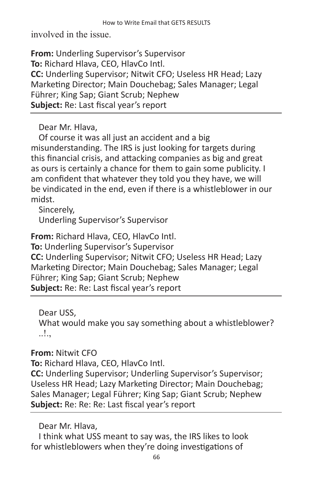involved in the issue.

**From:** Underling Supervisor's Supervisor **To:** Richard Hlava, CEO, HlavCo Intl. **CC:** Underling Supervisor; Nitwit CFO; Useless HR Head; Lazy Marketing Director; Main Douchebag; Sales Manager; Legal Führer; King Sap; Giant Scrub; Nephew **Subject:** Re: Last fiscal year's report

Dear Mr. Hlava,

Of course it was all just an accident and a big misunderstanding. The IRS is just looking for targets during this financial crisis, and attacking companies as big and great as ours is certainly a chance for them to gain some publicity. I am confident that whatever they told you they have, we will be vindicated in the end, even if there is a whistleblower in our midst.

Sincerely, Underling Supervisor's Supervisor

**From:** Richard Hlava, CEO, HlavCo Intl.

**To:** Underling Supervisor's Supervisor **CC:** Underling Supervisor; Nitwit CFO; Useless HR Head; Lazy Marketing Director; Main Douchebag; Sales Manager; Legal Führer; King Sap; Giant Scrub; Nephew **Subject:** Re: Re: Last fiscal year's report

Dear USS, What would make you say something about a whistleblower? ..!.,

**From:** Nitwit CFO

**To:** Richard Hlava, CEO, HlavCo Intl.

**CC:** Underling Supervisor; Underling Supervisor's Supervisor; Useless HR Head; Lazy Marketing Director; Main Douchebag; Sales Manager; Legal Führer; King Sap; Giant Scrub; Nephew **Subject:** Re: Re: Re: Last fiscal year's report

Dear Mr. Hlava,

I think what USS meant to say was, the IRS likes to look for whistleblowers when they're doing investigations of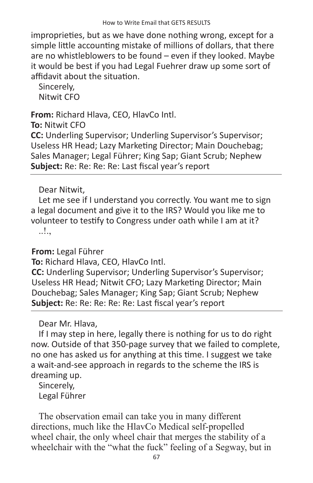improprieties, but as we have done nothing wrong, except for a simple little accounting mistake of millions of dollars, that there are no whistleblowers to be found – even if they looked. Maybe it would be best if you had Legal Fuehrer draw up some sort of affidavit about the situation.

Sincerely, Nitwit CFO

**From:** Richard Hlava, CEO, HlavCo Intl.

**To:** Nitwit CFO

**CC:** Underling Supervisor; Underling Supervisor's Supervisor; Useless HR Head; Lazy Marketing Director; Main Douchebag; Sales Manager; Legal Führer; King Sap; Giant Scrub; Nephew **Subject:** Re: Re: Re: Re: Last fiscal year's report

#### Dear Nitwit,

Let me see if I understand you correctly. You want me to sign a legal document and give it to the IRS? Would you like me to volunteer to testify to Congress under oath while I am at it? ..!.,

**From:** Legal Führer

**To:** Richard Hlava, CEO, HlavCo Intl.

**CC:** Underling Supervisor; Underling Supervisor's Supervisor; Useless HR Head; Nitwit CFO; Lazy Marketing Director; Main Douchebag; Sales Manager; King Sap; Giant Scrub; Nephew **Subject:** Re: Re: Re: Re: Re: Last fiscal year's report

Dear Mr. Hlava,

If I may step in here, legally there is nothing for us to do right now. Outside of that 350-page survey that we failed to complete, no one has asked us for anything at this time. I suggest we take a wait-and-see approach in regards to the scheme the IRS is dreaming up.

Sincerely, Legal Führer

The observation email can take you in many different directions, much like the HlavCo Medical self-propelled wheel chair, the only wheel chair that merges the stability of a wheelchair with the "what the fuck" feeling of a Segway, but in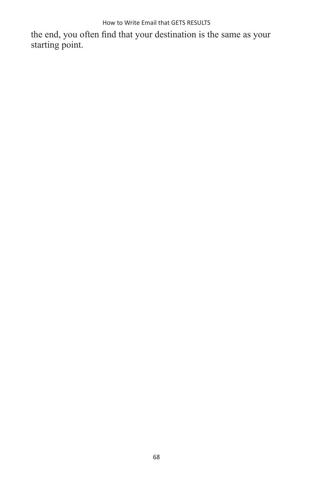How to Write Email that GETS RESULTS

the end, you often find that your destination is the same as your starting point.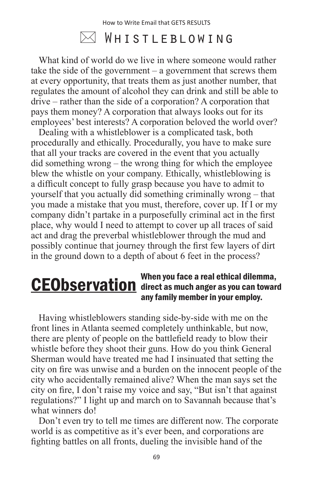### $\bowtie$  Whistleblowing

What kind of world do we live in where someone would rather take the side of the government – a government that screws them at every opportunity, that treats them as just another number, that regulates the amount of alcohol they can drink and still be able to drive – rather than the side of a corporation? A corporation that pays them money? A corporation that always looks out for its employees' best interests? A corporation beloved the world over?

Dealing with a whistleblower is a complicated task, both procedurally and ethically. Procedurally, you have to make sure that all your tracks are covered in the event that you actually did something wrong – the wrong thing for which the employee blew the whistle on your company. Ethically, whistleblowing is a difficult concept to fully grasp because you have to admit to yourself that you actually did something criminally wrong – that you made a mistake that you must, therefore, cover up. If I or my company didn't partake in a purposefully criminal act in the first place, why would I need to attempt to cover up all traces of said act and drag the preverbal whistleblower through the mud and possibly continue that journey through the first few layers of dirt in the ground down to a depth of about 6 feet in the process?

#### When you face a real ethical dilemma, **CEObservation** direct as much anger as you can toward any family member in your employ.

Having whistleblowers standing side-by-side with me on the front lines in Atlanta seemed completely unthinkable, but now, there are plenty of people on the battlefield ready to blow their whistle before they shoot their guns. How do you think General Sherman would have treated me had I insinuated that setting the city on fire was unwise and a burden on the innocent people of the city who accidentally remained alive? When the man says set the city on fire, I don't raise my voice and say, "But isn't that against regulations?" I light up and march on to Savannah because that's what winners do!

Don't even try to tell me times are different now. The corporate world is as competitive as it's ever been, and corporations are fighting battles on all fronts, dueling the invisible hand of the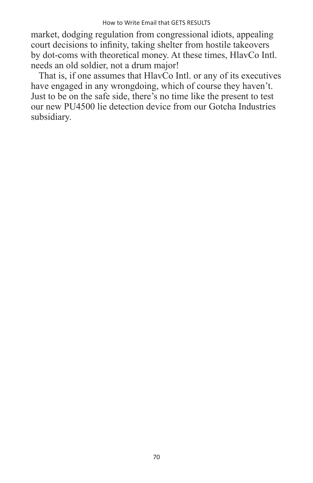market, dodging regulation from congressional idiots, appealing court decisions to infinity, taking shelter from hostile takeovers by dot-coms with theoretical money. At these times, HlavCo Intl. needs an old soldier, not a drum major!

That is, if one assumes that HlavCo Intl. or any of its executives have engaged in any wrongdoing, which of course they haven't. Just to be on the safe side, there's no time like the present to test our new PU4500 lie detection device from our Gotcha Industries subsidiary.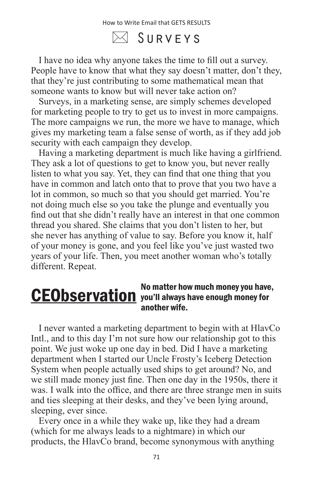$\boxtimes$  Surveys

I have no idea why anyone takes the time to fill out a survey. People have to know that what they say doesn't matter, don't they, that they're just contributing to some mathematical mean that someone wants to know but will never take action on?

Surveys, in a marketing sense, are simply schemes developed for marketing people to try to get us to invest in more campaigns. The more campaigns we run, the more we have to manage, which gives my marketing team a false sense of worth, as if they add job security with each campaign they develop.

Having a marketing department is much like having a girlfriend. They ask a lot of questions to get to know you, but never really listen to what you say. Yet, they can find that one thing that you have in common and latch onto that to prove that you two have a lot in common, so much so that you should get married. You're not doing much else so you take the plunge and eventually you find out that she didn't really have an interest in that one common thread you shared. She claims that you don't listen to her, but she never has anything of value to say. Before you know it, half of your money is gone, and you feel like you've just wasted two years of your life. Then, you meet another woman who's totally different. Repeat.

#### No matter how much money you have, **CEObservation** you'll always have enough money for another wife.

I never wanted a marketing department to begin with at HlavCo Intl., and to this day I'm not sure how our relationship got to this point. We just woke up one day in bed. Did I have a marketing department when I started our Uncle Frosty's Iceberg Detection System when people actually used ships to get around? No, and we still made money just fine. Then one day in the 1950s, there it was. I walk into the office, and there are three strange men in suits and ties sleeping at their desks, and they've been lying around, sleeping, ever since.

Every once in a while they wake up, like they had a dream (which for me always leads to a nightmare) in which our products, the HlavCo brand, become synonymous with anything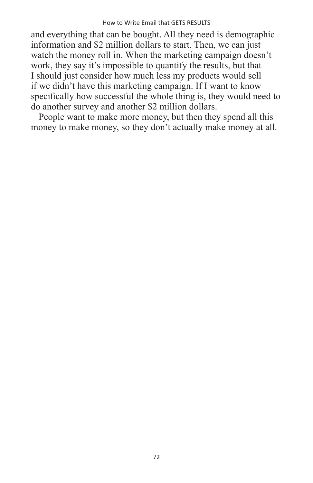and everything that can be bought. All they need is demographic information and \$2 million dollars to start. Then, we can just watch the money roll in. When the marketing campaign doesn't work, they say it's impossible to quantify the results, but that I should just consider how much less my products would sell if we didn't have this marketing campaign. If I want to know specifically how successful the whole thing is, they would need to do another survey and another \$2 million dollars.

People want to make more money, but then they spend all this money to make money, so they don't actually make money at all.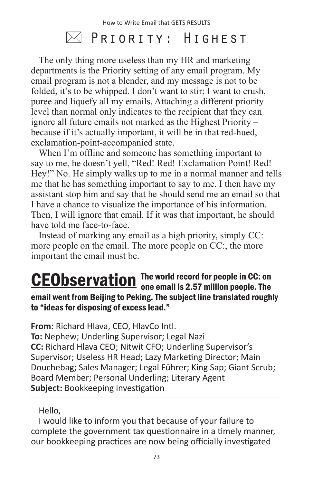### $\boxtimes$  Priority: Highest

The only thing more useless than my HR and marketing departments is the Priority setting of any email program. My email program is not a blender, and my message is not to be folded, it's to be whipped. I don't want to stir; I want to crush, puree and liquefy all my emails. Attaching a different priority level than normal only indicates to the recipient that they can ignore all future emails not marked as the Highest Priority – because if it's actually important, it will be in that red-hued, exclamation-point-accompanied state.

When I'm offline and someone has something important to say to me, he doesn't yell, "Red! Red! Exclamation Point! Red! Hey!" No. He simply walks up to me in a normal manner and tells me that he has something important to say to me. I then have my assistant stop him and say that he should send me an email so that I have a chance to visualize the importance of his information. Then, I will ignore that email. If it was that important, he should have told me face-to-face.

Instead of marking any email as a high priority, simply CC: more people on the email. The more people on CC:, the more important the email must be.

#### The world record for people in CC: on CEObservation The world record for people in CC: on<br>one email is 2.57 million people. The email went from Beijing to Peking. The subject line translated roughly to "ideas for disposing of excess lead."

**From:** Richard Hlava, CEO, HlavCo Intl.

**To:** Nephew; Underling Supervisor; Legal Nazi **CC:** Richard Hlava CEO; Nitwit CFO; Underling Supervisor's Supervisor; Useless HR Head; Lazy Marketing Director; Main Douchebag; Sales Manager; Legal Führer; King Sap; Giant Scrub; Board Member; Personal Underling; Literary Agent **Subject:** Bookkeeping investigation

Hello,

I would like to inform you that because of your failure to complete the government tax questionnaire in a timely manner, our bookkeeping practices are now being officially investigated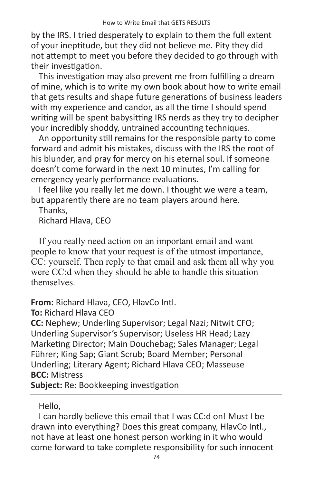by the IRS. I tried desperately to explain to them the full extent of your ineptitude, but they did not believe me. Pity they did not attempt to meet you before they decided to go through with their investigation.

This investigation may also prevent me from fulfilling a dream of mine, which is to write my own book about how to write email that gets results and shape future generations of business leaders with my experience and candor, as all the time I should spend writing will be spent babysitting IRS nerds as they try to decipher your incredibly shoddy, untrained accounting techniques.

An opportunity still remains for the responsible party to come forward and admit his mistakes, discuss with the IRS the root of his blunder, and pray for mercy on his eternal soul. If someone doesn't come forward in the next 10 minutes, I'm calling for emergency yearly performance evaluations.

I feel like you really let me down. I thought we were a team, but apparently there are no team players around here.

Thanks, Richard Hlava, CEO

If you really need action on an important email and want people to know that your request is of the utmost importance, CC: yourself. Then reply to that email and ask them all why you were CC:d when they should be able to handle this situation themselves.

**From:** Richard Hlava, CEO, HlavCo Intl.

**To:** Richard Hlava CEO

**CC:** Nephew; Underling Supervisor; Legal Nazi; Nitwit CFO; Underling Supervisor's Supervisor; Useless HR Head; Lazy Marketing Director; Main Douchebag; Sales Manager; Legal Führer; King Sap; Giant Scrub; Board Member; Personal Underling; Literary Agent; Richard Hlava CEO; Masseuse **BCC:** Mistress

**Subject:** Re: Bookkeeping investigation

#### Hello,

I can hardly believe this email that I was CC:d on! Must I be drawn into everything? Does this great company, HlavCo Intl., not have at least one honest person working in it who would come forward to take complete responsibility for such innocent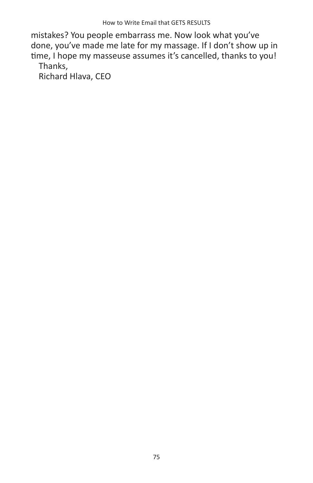mistakes? You people embarrass me. Now look what you've done, you've made me late for my massage. If I don't show up in time, I hope my masseuse assumes it's cancelled, thanks to you! Thanks,

Richard Hlava, CEO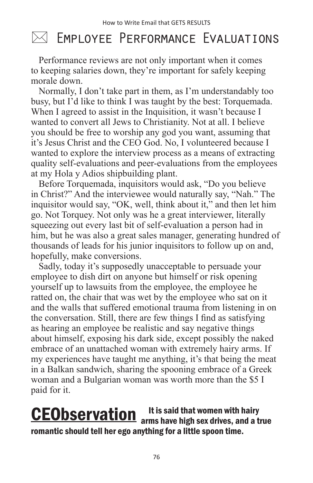### $\bowtie$  Employee Performance Evaluations

Performance reviews are not only important when it comes to keeping salaries down, they're important for safely keeping morale down.

Normally, I don't take part in them, as I'm understandably too busy, but I'd like to think I was taught by the best: Torquemada. When I agreed to assist in the Inquisition, it wasn't because I wanted to convert all Jews to Christianity. Not at all. I believe you should be free to worship any god you want, assuming that it's Jesus Christ and the CEO God. No, I volunteered because I wanted to explore the interview process as a means of extracting quality self-evaluations and peer-evaluations from the employees at my Hola y Adios shipbuilding plant.

Before Torquemada, inquisitors would ask, "Do you believe in Christ?" And the interviewee would naturally say, "Nah." The inquisitor would say, "OK, well, think about it," and then let him go. Not Torquey. Not only was he a great interviewer, literally squeezing out every last bit of self-evaluation a person had in him, but he was also a great sales manager, generating hundred of thousands of leads for his junior inquisitors to follow up on and, hopefully, make conversions.

Sadly, today it's supposedly unacceptable to persuade your employee to dish dirt on anyone but himself or risk opening yourself up to lawsuits from the employee, the employee he ratted on, the chair that was wet by the employee who sat on it and the walls that suffered emotional trauma from listening in on the conversation. Still, there are few things I find as satisfying as hearing an employee be realistic and say negative things about himself, exposing his dark side, except possibly the naked embrace of an unattached woman with extremely hairy arms. If my experiences have taught me anything, it's that being the meat in a Balkan sandwich, sharing the spooning embrace of a Greek woman and a Bulgarian woman was worth more than the \$5 I paid for it.

#### It is said that women with hairy **CEObservation** att is said that women with hairy and a true romantic should tell her ego anything for a little spoon time.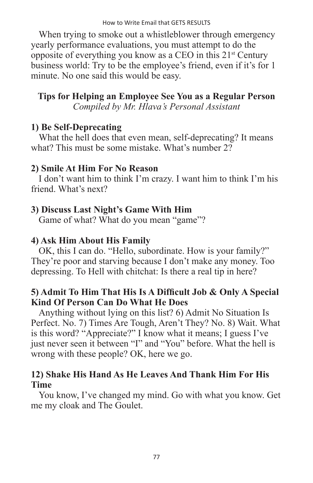When trying to smoke out a whistleblower through emergency yearly performance evaluations, you must attempt to do the opposite of everything you know as a CEO in this 21st Century business world: Try to be the employee's friend, even if it's for 1 minute. No one said this would be easy.

**Tips for Helping an Employee See You as a Regular Person** *Compiled by Mr. Hlava's Personal Assistant*

#### **1) Be Self-Deprecating**

What the hell does that even mean, self-deprecating? It means what? This must be some mistake. What's number  $2\overline{2}$ 

#### **2) Smile At Him For No Reason**

I don't want him to think I'm crazy. I want him to think I'm his friend. What's next?

#### **3) Discuss Last Night's Game With Him**

Game of what? What do you mean "game"?

#### **4) Ask Him About His Family**

OK, this I can do. "Hello, subordinate. How is your family?" They're poor and starving because I don't make any money. Too depressing. To Hell with chitchat: Is there a real tip in here?

#### **5) Admit To Him That His Is A Difficult Job & Only A Special Kind Of Person Can Do What He Does**

Anything without lying on this list? 6) Admit No Situation Is Perfect. No. 7) Times Are Tough, Aren't They? No. 8) Wait. What is this word? "Appreciate?" I know what it means; I guess I've just never seen it between "I" and "You" before. What the hell is wrong with these people? OK, here we go.

#### **12) Shake His Hand As He Leaves And Thank Him For His Time**

You know, I've changed my mind. Go with what you know. Get me my cloak and The Goulet.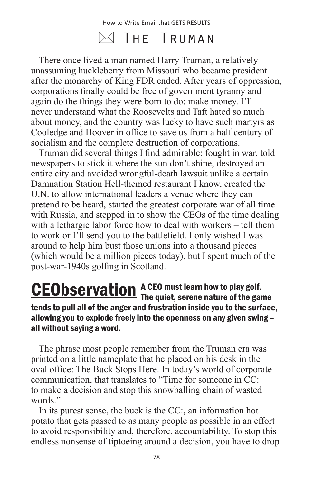### $\boxtimes$  The Truman

There once lived a man named Harry Truman, a relatively unassuming huckleberry from Missouri who became president after the monarchy of King FDR ended. After years of oppression, corporations finally could be free of government tyranny and again do the things they were born to do: make money. I'll never understand what the Roosevelts and Taft hated so much about money, and the country was lucky to have such martyrs as Cooledge and Hoover in office to save us from a half century of socialism and the complete destruction of corporations.

Truman did several things I find admirable: fought in war, told newspapers to stick it where the sun don't shine, destroyed an entire city and avoided wrongful-death lawsuit unlike a certain Damnation Station Hell-themed restaurant I know, created the U.N. to allow international leaders a venue where they can pretend to be heard, started the greatest corporate war of all time with Russia, and stepped in to show the CEOs of the time dealing with a lethargic labor force how to deal with workers – tell them to work or I'll send you to the battlefield. I only wished I was around to help him bust those unions into a thousand pieces (which would be a million pieces today), but I spent much of the post-war-1940s golfing in Scotland.

#### A CEO must learn how to play golf. **CEObservation** A CEO must learn how to play golf.<br>The quiet, serene nature of the game tends to pull all of the anger and frustration inside you to the surface, allowing you to explode freely into the openness on any given swing – all without saying a word.

The phrase most people remember from the Truman era was printed on a little nameplate that he placed on his desk in the oval office: The Buck Stops Here. In today's world of corporate communication, that translates to "Time for someone in CC: to make a decision and stop this snowballing chain of wasted words."

In its purest sense, the buck is the CC:, an information hot potato that gets passed to as many people as possible in an effort to avoid responsibility and, therefore, accountability. To stop this endless nonsense of tiptoeing around a decision, you have to drop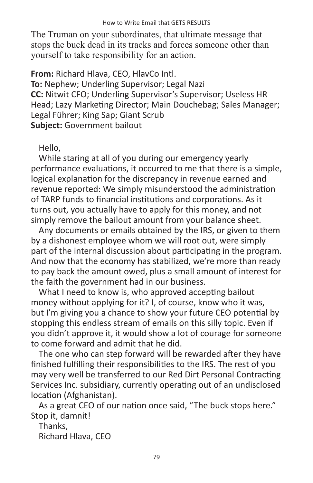The Truman on your subordinates, that ultimate message that stops the buck dead in its tracks and forces someone other than yourself to take responsibility for an action.

**From:** Richard Hlava, CEO, HlavCo Intl.

**To:** Nephew; Underling Supervisor; Legal Nazi **CC:** Nitwit CFO; Underling Supervisor's Supervisor; Useless HR Head; Lazy Marketing Director; Main Douchebag; Sales Manager; Legal Führer; King Sap; Giant Scrub **Subject:** Government bailout

#### Hello,

While staring at all of you during our emergency yearly performance evaluations, it occurred to me that there is a simple, logical explanation for the discrepancy in revenue earned and revenue reported: We simply misunderstood the administration of TARP funds to financial institutions and corporations. As it turns out, you actually have to apply for this money, and not simply remove the bailout amount from your balance sheet.

Any documents or emails obtained by the IRS, or given to them by a dishonest employee whom we will root out, were simply part of the internal discussion about participating in the program. And now that the economy has stabilized, we're more than ready to pay back the amount owed, plus a small amount of interest for the faith the government had in our business.

What I need to know is, who approved accepting bailout money without applying for it? I, of course, know who it was, but I'm giving you a chance to show your future CEO potential by stopping this endless stream of emails on this silly topic. Even if you didn't approve it, it would show a lot of courage for someone to come forward and admit that he did.

The one who can step forward will be rewarded after they have finished fulfilling their responsibilities to the IRS. The rest of you may very well be transferred to our Red Dirt Personal Contracting Services Inc. subsidiary, currently operating out of an undisclosed location (Afghanistan).

As a great CEO of our nation once said, "The buck stops here." Stop it, damnit!

Thanks, Richard Hlava, CEO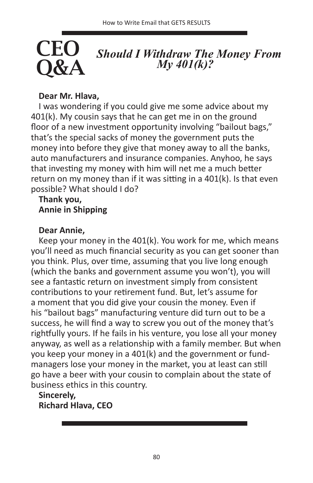# *Should I Withdraw The Money From My 401(k)?*

#### **Dear Mr. Hlava,**

**CEO** 

Q&A

I was wondering if you could give me some advice about my 401(k). My cousin says that he can get me in on the ground floor of a new investment opportunity involving "bailout bags," that's the special sacks of money the government puts the money into before they give that money away to all the banks, auto manufacturers and insurance companies. Anyhoo, he says that investing my money with him will net me a much better return on my money than if it was sitting in a 401(k). Is that even possible? What should I do?

#### **Thank you, Annie in Shipping**

#### **Dear Annie,**

Keep your money in the 401(k). You work for me, which means you'll need as much financial security as you can get sooner than you think. Plus, over time, assuming that you live long enough (which the banks and government assume you won't), you will see a fantastic return on investment simply from consistent contributions to your retirement fund. But, let's assume for a moment that you did give your cousin the money. Even if his "bailout bags" manufacturing venture did turn out to be a success, he will find a way to screw you out of the money that's rightfully yours. If he fails in his venture, you lose all your money anyway, as well as a relationship with a family member. But when you keep your money in a 401(k) and the government or fundmanagers lose your money in the market, you at least can still go have a beer with your cousin to complain about the state of business ethics in this country.

**Sincerely, Richard Hlava, CEO**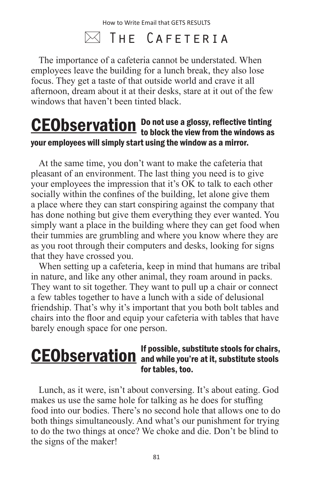### $\boxtimes$  The Cafeteria

The importance of a cafeteria cannot be understated. When employees leave the building for a lunch break, they also lose focus. They get a taste of that outside world and crave it all afternoon, dream about it at their desks, stare at it out of the few windows that haven't been tinted black.

#### Do not use a glossy, reflective tinting **CEObservation** Do not use a glossy, reflective tinting<br>to block the view from the windows as your employees will simply start using the window as a mirror.

At the same time, you don't want to make the cafeteria that pleasant of an environment. The last thing you need is to give your employees the impression that it's OK to talk to each other socially within the confines of the building, let alone give them a place where they can start conspiring against the company that has done nothing but give them everything they ever wanted. You simply want a place in the building where they can get food when their tummies are grumbling and where you know where they are as you root through their computers and desks, looking for signs that they have crossed you.

When setting up a cafeteria, keep in mind that humans are tribal in nature, and like any other animal, they roam around in packs. They want to sit together. They want to pull up a chair or connect a few tables together to have a lunch with a side of delusional friendship. That's why it's important that you both bolt tables and chairs into the floor and equip your cafeteria with tables that have barely enough space for one person.

#### If possible, substitute stools for chairs, CEObservation of the possible, substitute stools for chairs, for tables, too.

Lunch, as it were, isn't about conversing. It's about eating. God makes us use the same hole for talking as he does for stuffing food into our bodies. There's no second hole that allows one to do both things simultaneously. And what's our punishment for trying to do the two things at once? We choke and die. Don't be blind to the signs of the maker!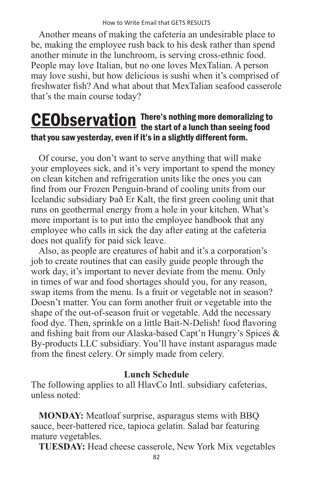Another means of making the cafeteria an undesirable place to be, making the employee rush back to his desk rather than spend another minute in the lunchroom, is serving cross-ethnic food. People may love Italian, but no one loves MexTalian. A person may love sushi, but how delicious is sushi when it's comprised of freshwater fish? And what about that MexTalian seafood casserole that's the main course today?

#### There's nothing more demoralizing to **CEObservation** There's nothing more demoralizing to<br>the start of a lunch than seeing food that you saw yesterday, even if it's in a slightly different form.

Of course, you don't want to serve anything that will make your employees sick, and it's very important to spend the money on clean kitchen and refrigeration units like the ones you can find from our Frozen Penguin-brand of cooling units from our Icelandic subsidiary Það Er Kalt, the first green cooling unit that runs on geothermal energy from a hole in your kitchen. What's more important is to put into the employee handbook that any employee who calls in sick the day after eating at the cafeteria does not qualify for paid sick leave.

Also, as people are creatures of habit and it's a corporation's job to create routines that can easily guide people through the work day, it's important to never deviate from the menu. Only in times of war and food shortages should you, for any reason, swap items from the menu. Is a fruit or vegetable not in season? Doesn't matter. You can form another fruit or vegetable into the shape of the out-of-season fruit or vegetable. Add the necessary food dye. Then, sprinkle on a little Bait-N-Delish! food flavoring and fishing bait from our Alaska-based Capt'n Hungry's Spices & By-products LLC subsidiary. You'll have instant asparagus made from the finest celery. Or simply made from celery.

#### **Lunch Schedule**

The following applies to all HlavCo Intl. subsidiary cafeterias, unless noted:

**MONDAY:** Meatloaf surprise, asparagus stems with BBQ sauce, beer-battered rice, tapioca gelatin. Salad bar featuring mature vegetables.

**TUESDAY:** Head cheese casserole, New York Mix vegetables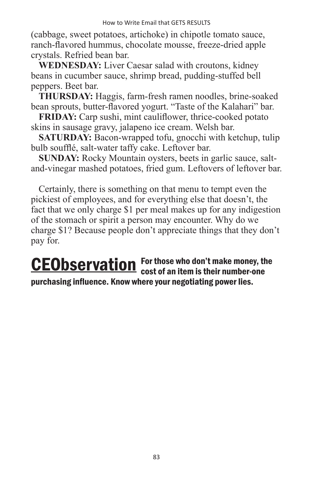(cabbage, sweet potatoes, artichoke) in chipotle tomato sauce, ranch-flavored hummus, chocolate mousse, freeze-dried apple crystals. Refried bean bar.

**WEDNESDAY:** Liver Caesar salad with croutons, kidney beans in cucumber sauce, shrimp bread, pudding-stuffed bell peppers. Beet bar.

**THURSDAY:** Haggis, farm-fresh ramen noodles, brine-soaked bean sprouts, butter-flavored yogurt. "Taste of the Kalahari" bar.

**FRIDAY:** Carp sushi, mint cauliflower, thrice-cooked potato skins in sausage gravy, jalapeno ice cream. Welsh bar.

**SATURDAY:** Bacon-wrapped tofu, gnocchi with ketchup, tulip bulb soufflé, salt-water taffy cake. Leftover bar.

**SUNDAY:** Rocky Mountain oysters, beets in garlic sauce, saltand-vinegar mashed potatoes, fried gum. Leftovers of leftover bar.

Certainly, there is something on that menu to tempt even the pickiest of employees, and for everything else that doesn't, the fact that we only charge \$1 per meal makes up for any indigestion of the stomach or spirit a person may encounter. Why do we charge \$1? Because people don't appreciate things that they don't pay for.

For those who don't make money, the **CEObservation** For those who don't make money, the cost of an item is their number-one purchasing influence. Know where your negotiating power lies.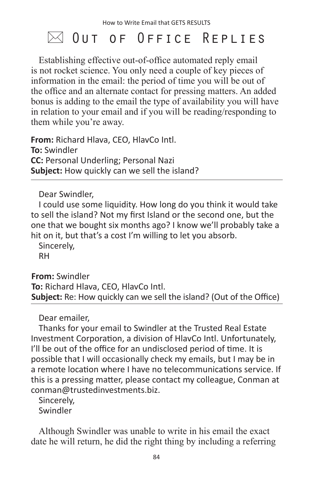### $\bowtie$  Out of Office Replies

Establishing effective out-of-office automated reply email is not rocket science. You only need a couple of key pieces of information in the email: the period of time you will be out of the office and an alternate contact for pressing matters. An added bonus is adding to the email the type of availability you will have in relation to your email and if you will be reading/responding to them while you're away.

**From:** Richard Hlava, CEO, HlavCo Intl. **To:** Swindler **CC:** Personal Underling; Personal Nazi **Subject:** How quickly can we sell the island?

Dear Swindler,

I could use some liquidity. How long do you think it would take to sell the island? Not my first Island or the second one, but the one that we bought six months ago? I know we'll probably take a hit on it, but that's a cost I'm willing to let you absorb.

Sincerely, RH

**From:** Swindler **To:** Richard Hlava, CEO, HlavCo Intl. **Subject:** Re: How quickly can we sell the island? (Out of the Office)

Dear emailer,

Thanks for your email to Swindler at the Trusted Real Estate Investment Corporation, a division of HlavCo Intl. Unfortunately, I'll be out of the office for an undisclosed period of time. It is possible that I will occasionally check my emails, but I may be in a remote location where I have no telecommunications service. If this is a pressing matter, please contact my colleague, Conman at conman@trustedinvestments.biz.

Sincerely, Swindler

Although Swindler was unable to write in his email the exact date he will return, he did the right thing by including a referring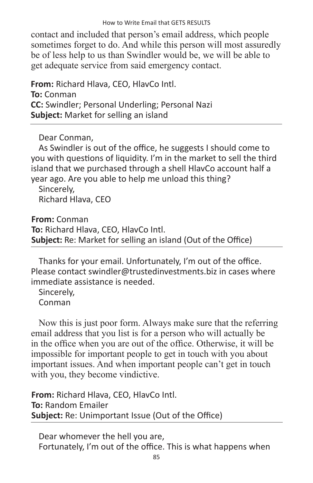contact and included that person's email address, which people sometimes forget to do. And while this person will most assuredly be of less help to us than Swindler would be, we will be able to get adequate service from said emergency contact.

**From:** Richard Hlava, CEO, HlavCo Intl. **To:** Conman **CC:** Swindler; Personal Underling; Personal Nazi **Subject:** Market for selling an island

Dear Conman,

As Swindler is out of the office, he suggests I should come to you with questions of liquidity. I'm in the market to sell the third island that we purchased through a shell HlavCo account half a year ago. Are you able to help me unload this thing?

Sincerely, Richard Hlava, CEO

**From:** Conman **To:** Richard Hlava, CEO, HlavCo Intl. **Subject:** Re: Market for selling an island (Out of the Office)

Thanks for your email. Unfortunately, I'm out of the office. Please contact swindler@trustedinvestments.biz in cases where immediate assistance is needed.

Sincerely, Conman

Now this is just poor form. Always make sure that the referring email address that you list is for a person who will actually be in the office when you are out of the office. Otherwise, it will be impossible for important people to get in touch with you about important issues. And when important people can't get in touch with you, they become vindictive.

**From:** Richard Hlava, CEO, HlavCo Intl. **To:** Random Emailer **Subject:** Re: Unimportant Issue (Out of the Office)

Dear whomever the hell you are, Fortunately, I'm out of the office. This is what happens when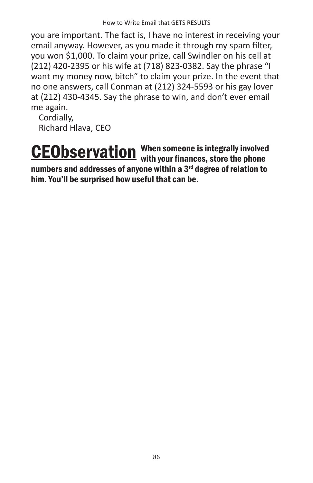you are important. The fact is, I have no interest in receiving your email anyway. However, as you made it through my spam filter, you won \$1,000. To claim your prize, call Swindler on his cell at (212) 420-2395 or his wife at (718) 823-0382. Say the phrase "I want my money now, bitch" to claim your prize. In the event that no one answers, call Conman at (212) 324-5593 or his gay lover at (212) 430-4345. Say the phrase to win, and don't ever email me again.

Cordially, Richard Hlava, CEO

When someone is integrally involved **CEObservation** When someone is integrally involved<br>with your finances, store the phone numbers and addresses of anyone within a 3<sup>rd</sup> degree of relation to him. You'll be surprised how useful that can be.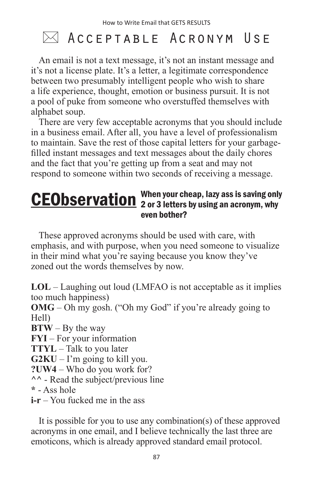### $\bowtie$  Acceptable Acronym Use

An email is not a text message, it's not an instant message and it's not a license plate. It's a letter, a legitimate correspondence between two presumably intelligent people who wish to share a life experience, thought, emotion or business pursuit. It is not a pool of puke from someone who overstuffed themselves with alphabet soup.

There are very few acceptable acronyms that you should include in a business email. After all, you have a level of professionalism to maintain. Save the rest of those capital letters for your garbagefilled instant messages and text messages about the daily chores and the fact that you're getting up from a seat and may not respond to someone within two seconds of receiving a message.

#### When your cheap, lazy ass is saving only **CEObservation** When your cheap, lazy ass is saving only<br>example an acronym, why even bother?

These approved acronyms should be used with care, with emphasis, and with purpose, when you need someone to visualize in their mind what you're saying because you know they've zoned out the words themselves by now.

**LOL** – Laughing out loud (LMFAO is not acceptable as it implies too much happiness)

**OMG** – Oh my gosh. ("Oh my God" if you're already going to Hell)

**BTW** – By the way

**FYI** – For your information

**TTYL** – Talk to you later

 $G2KU - I'm$  going to kill you.

**?UW4** – Who do you work for?

**^^** - Read the subject/previous line

**\*** - Ass hole

**i-r** – You fucked me in the ass

It is possible for you to use any combination(s) of these approved acronyms in one email, and I believe technically the last three are emoticons, which is already approved standard email protocol.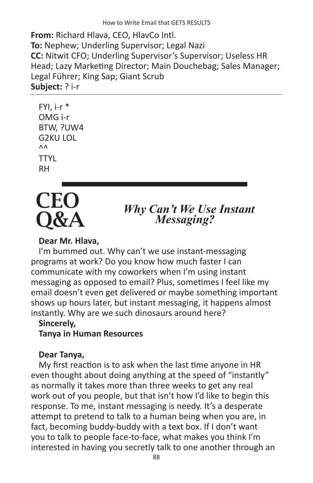**From:** Richard Hlava, CEO, HlavCo Intl. **To:** Nephew; Underling Supervisor; Legal Nazi **CC:** Nitwit CFO; Underling Supervisor's Supervisor; Useless HR Head; Lazy Marketing Director; Main Douchebag; Sales Manager; Legal Führer; King Sap; Giant Scrub **Subject:** ? i-r

```
FYI, i-r * 
OMG i-r
BTW, ?UW4
G2KU LOL
\Lambda<sup>\Lambda</sup>
TTYL
RH
```


# *Why Can't We Use Instant Messaging?*

#### **Dear Mr. Hlava,**

I'm bummed out. Why can't we use instant-messaging programs at work? Do you know how much faster I can communicate with my coworkers when I'm using instant messaging as opposed to email? Plus, sometimes I feel like my email doesn't even get delivered or maybe something important shows up hours later, but instant messaging, it happens almost instantly. Why are we such dinosaurs around here?

#### **Sincerely,**

**Tanya in Human Resources**

#### **Dear Tanya,**

My first reaction is to ask when the last time anyone in HR even thought about doing anything at the speed of "instantly" as normally it takes more than three weeks to get any real work out of you people, but that isn't how I'd like to begin this response. To me, instant messaging is needy. It's a desperate attempt to pretend to talk to a human being when you are, in fact, becoming buddy-buddy with a text box. If I don't want you to talk to people face-to-face, what makes you think I'm interested in having you secretly talk to one another through an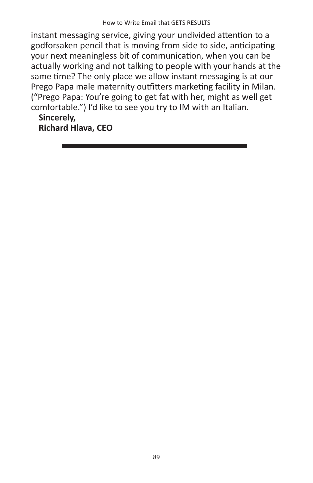instant messaging service, giving your undivided attention to a godforsaken pencil that is moving from side to side, anticipating your next meaningless bit of communication, when you can be actually working and not talking to people with your hands at the same time? The only place we allow instant messaging is at our Prego Papa male maternity outfitters marketing facility in Milan. ("Prego Papa: You're going to get fat with her, might as well get comfortable.") I'd like to see you try to IM with an Italian.

#### **Sincerely,**

**Richard Hlava, CEO**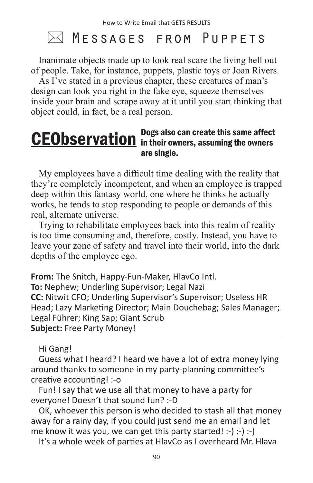### $\bowtie$  <code>Messages From Puppets</code>

Inanimate objects made up to look real scare the living hell out of people. Take, for instance, puppets, plastic toys or Joan Rivers.

As I've stated in a previous chapter, these creatures of man's design can look you right in the fake eye, squeeze themselves inside your brain and scrape away at it until you start thinking that object could, in fact, be a real person.

#### Dogs also can create this same affect **CEObservation** in their owners, assuming the owners are single.

My employees have a difficult time dealing with the reality that they're completely incompetent, and when an employee is trapped deep within this fantasy world, one where he thinks he actually works, he tends to stop responding to people or demands of this real, alternate universe.

Trying to rehabilitate employees back into this realm of reality is too time consuming and, therefore, costly. Instead, you have to leave your zone of safety and travel into their world, into the dark depths of the employee ego.

**From:** The Snitch, Happy-Fun-Maker, HlavCo Intl. **To:** Nephew; Underling Supervisor; Legal Nazi **CC:** Nitwit CFO; Underling Supervisor's Supervisor; Useless HR Head; Lazy Marketing Director; Main Douchebag; Sales Manager; Legal Führer; King Sap; Giant Scrub **Subject:** Free Party Money!

Hi Gang!

Guess what I heard? I heard we have a lot of extra money lying around thanks to someone in my party-planning committee's creative accounting! :-o

Fun! I say that we use all that money to have a party for everyone! Doesn't that sound fun? :-D

OK, whoever this person is who decided to stash all that money away for a rainy day, if you could just send me an email and let me know it was you, we can get this party started! :-) :-) :-)

It's a whole week of parties at HlavCo as I overheard Mr. Hlava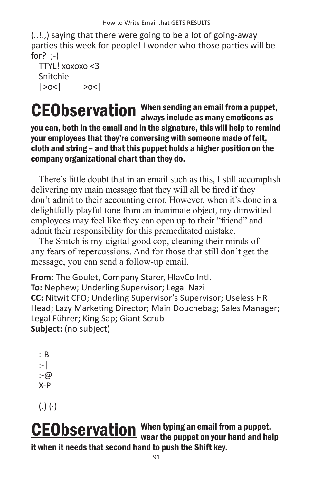(..!.,) saying that there were going to be a lot of going-away parties this week for people! I wonder who those parties will be for? ;-)

```
TTYL! xoxoxo <3
Snitchie 
|>o<| |>o<|
```
When sending an email from a puppet, **CEObservation** When sending an email from a puppet<br>always include as many emoticons as you can, both in the email and in the signature, this will help to remind your employees that they're conversing with someone made of felt, cloth and string – and that this puppet holds a higher position on the company organizational chart than they do.

There's little doubt that in an email such as this, I still accomplish delivering my main message that they will all be fired if they don't admit to their accounting error. However, when it's done in a delightfully playful tone from an inanimate object, my dimwitted employees may feel like they can open up to their "friend" and admit their responsibility for this premeditated mistake.

The Snitch is my digital good cop, cleaning their minds of any fears of repercussions. And for those that still don't get the message, you can send a follow-up email.

**From:** The Goulet, Company Starer, HlavCo Intl. **To:** Nephew; Underling Supervisor; Legal Nazi **CC:** Nitwit CFO; Underling Supervisor's Supervisor; Useless HR Head; Lazy Marketing Director; Main Douchebag; Sales Manager; Legal Führer; King Sap; Giant Scrub **Subject:** (no subject)

:-B :-| :-@ X-P

 $(.)$   $(\cdot)$ 

When typing an email from a puppet, **CEObservation** When typing an email from a puppet,<br>wear the puppet on your hand and help it when it needs that second hand to push the Shift key.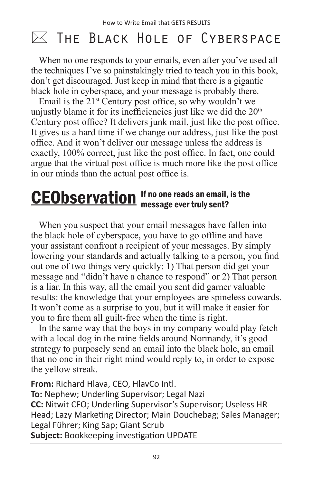### $\bowtie$  The Black Hole of Cyberspace

When no one responds to your emails, even after you've used all the techniques I've so painstakingly tried to teach you in this book, don't get discouraged. Just keep in mind that there is a gigantic black hole in cyberspace, and your message is probably there.

Email is the  $21^{st}$  Century post office, so why wouldn't we unjustly blame it for its inefficiencies just like we did the  $20<sup>th</sup>$ Century post office? It delivers junk mail, just like the post office. It gives us a hard time if we change our address, just like the post office. And it won't deliver our message unless the address is exactly, 100% correct, just like the post office. In fact, one could argue that the virtual post office is much more like the post office in our minds than the actual post office is.

#### If no one reads an email, is the CEObservation If no one reads an email,<br>message ever truly sent?

When you suspect that your email messages have fallen into the black hole of cyberspace, you have to go offline and have your assistant confront a recipient of your messages. By simply lowering your standards and actually talking to a person, you find out one of two things very quickly: 1) That person did get your message and "didn't have a chance to respond" or 2) That person is a liar. In this way, all the email you sent did garner valuable results: the knowledge that your employees are spineless cowards. It won't come as a surprise to you, but it will make it easier for you to fire them all guilt-free when the time is right.

In the same way that the boys in my company would play fetch with a local dog in the mine fields around Normandy, it's good strategy to purposely send an email into the black hole, an email that no one in their right mind would reply to, in order to expose the yellow streak.

**From:** Richard Hlava, CEO, HlavCo Intl. **To:** Nephew; Underling Supervisor; Legal Nazi **CC:** Nitwit CFO; Underling Supervisor's Supervisor; Useless HR Head; Lazy Marketing Director; Main Douchebag; Sales Manager; Legal Führer; King Sap; Giant Scrub **Subject:** Bookkeeping investigation UPDATE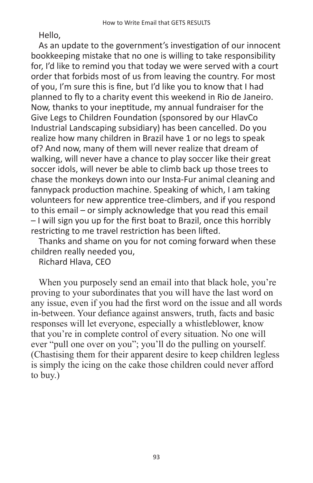Hello,

As an update to the government's investigation of our innocent bookkeeping mistake that no one is willing to take responsibility for, I'd like to remind you that today we were served with a court order that forbids most of us from leaving the country. For most of you, I'm sure this is fine, but I'd like you to know that I had planned to fly to a charity event this weekend in Rio de Janeiro. Now, thanks to your ineptitude, my annual fundraiser for the Give Legs to Children Foundation (sponsored by our HlavCo Industrial Landscaping subsidiary) has been cancelled. Do you realize how many children in Brazil have 1 or no legs to speak of? And now, many of them will never realize that dream of walking, will never have a chance to play soccer like their great soccer idols, will never be able to climb back up those trees to chase the monkeys down into our Insta-Fur animal cleaning and fannypack production machine. Speaking of which, I am taking volunteers for new apprentice tree-climbers, and if you respond to this email – or simply acknowledge that you read this email – I will sign you up for the first boat to Brazil, once this horribly restricting to me travel restriction has been lifted.

Thanks and shame on you for not coming forward when these children really needed you,

Richard Hlava, CEO

When you purposely send an email into that black hole, you're proving to your subordinates that you will have the last word on any issue, even if you had the first word on the issue and all words in-between. Your defiance against answers, truth, facts and basic responses will let everyone, especially a whistleblower, know that you're in complete control of every situation. No one will ever "pull one over on you"; you'll do the pulling on yourself. (Chastising them for their apparent desire to keep children legless is simply the icing on the cake those children could never afford to buy.)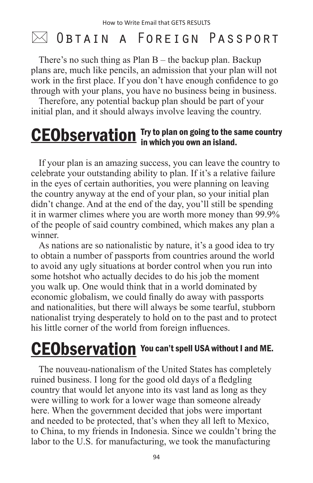### $\bowtie$  Obtain a Foreign Passport

There's no such thing as Plan B – the backup plan. Backup plans are, much like pencils, an admission that your plan will not work in the first place. If you don't have enough confidence to go through with your plans, you have no business being in business.

Therefore, any potential backup plan should be part of your initial plan, and it should always involve leaving the country.

#### Try to plan on going to the same country **CEObservation** Try to plan on going to the s<br>in which you own an island.

If your plan is an amazing success, you can leave the country to celebrate your outstanding ability to plan. If it's a relative failure in the eyes of certain authorities, you were planning on leaving the country anyway at the end of your plan, so your initial plan didn't change. And at the end of the day, you'll still be spending it in warmer climes where you are worth more money than 99.9% of the people of said country combined, which makes any plan a winner.

As nations are so nationalistic by nature, it's a good idea to try to obtain a number of passports from countries around the world to avoid any ugly situations at border control when you run into some hotshot who actually decides to do his job the moment you walk up. One would think that in a world dominated by economic globalism, we could finally do away with passports and nationalities, but there will always be some tearful, stubborn nationalist trying desperately to hold on to the past and to protect his little corner of the world from foreign influences.

## **CEObservation** You can't spell USA without I and ME.

The nouveau-nationalism of the United States has completely ruined business. I long for the good old days of a fledgling country that would let anyone into its vast land as long as they were willing to work for a lower wage than someone already here. When the government decided that jobs were important and needed to be protected, that's when they all left to Mexico, to China, to my friends in Indonesia. Since we couldn't bring the labor to the U.S. for manufacturing, we took the manufacturing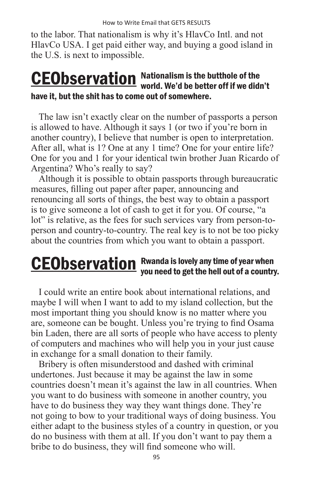to the labor. That nationalism is why it's HlavCo Intl. and not HlavCo USA. I get paid either way, and buying a good island in the U.S. is next to impossible.

#### Nationalism is the butthole of the **CEObservation** Nationalism is the butthole of the<br>world. We'd be better off if we didn't have it, but the shit has to come out of somewhere.

The law isn't exactly clear on the number of passports a person is allowed to have. Although it says 1 (or two if you're born in another country), I believe that number is open to interpretation. After all, what is 1? One at any 1 time? One for your entire life? One for you and 1 for your identical twin brother Juan Ricardo of Argentina? Who's really to say?

Although it is possible to obtain passports through bureaucratic measures, filling out paper after paper, announcing and renouncing all sorts of things, the best way to obtain a passport is to give someone a lot of cash to get it for you. Of course, "a lot" is relative, as the fees for such services vary from person-toperson and country-to-country. The real key is to not be too picky about the countries from which you want to obtain a passport.

#### Rwanda is lovely any time of year when **CEObservation** Rwanda is lovely any time of year when<br>you need to get the hell out of a country.

I could write an entire book about international relations, and maybe I will when I want to add to my island collection, but the most important thing you should know is no matter where you are, someone can be bought. Unless you're trying to find Osama bin Laden, there are all sorts of people who have access to plenty of computers and machines who will help you in your just cause in exchange for a small donation to their family.

Bribery is often misunderstood and dashed with criminal undertones. Just because it may be against the law in some countries doesn't mean it's against the law in all countries. When you want to do business with someone in another country, you have to do business they way they want things done. They're not going to bow to your traditional ways of doing business. You either adapt to the business styles of a country in question, or you do no business with them at all. If you don't want to pay them a bribe to do business, they will find someone who will.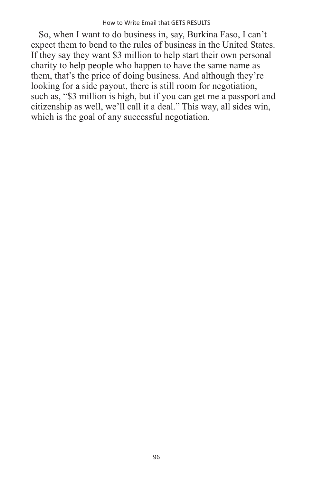So, when I want to do business in, say, Burkina Faso, I can't expect them to bend to the rules of business in the United States. If they say they want \$3 million to help start their own personal charity to help people who happen to have the same name as them, that's the price of doing business. And although they're looking for a side payout, there is still room for negotiation, such as, "\$3 million is high, but if you can get me a passport and citizenship as well, we'll call it a deal." This way, all sides win, which is the goal of any successful negotiation.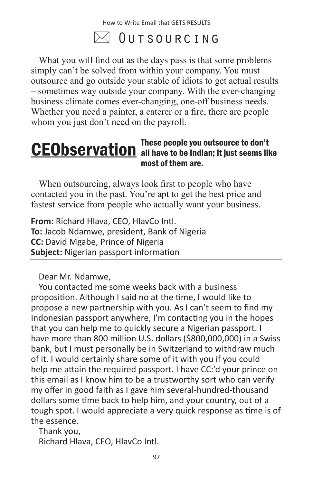### $\bowtie$  Outsourcing

What you will find out as the days pass is that some problems simply can't be solved from within your company. You must outsource and go outside your stable of idiots to get actual results – sometimes way outside your company. With the ever-changing business climate comes ever-changing, one-off business needs. Whether you need a painter, a caterer or a fire, there are people whom you just don't need on the payroll.

#### These people you outsource to don't **CEObservation** all have to be Indian; it just seems like most of them are.

When outsourcing, always look first to people who have contacted you in the past. You're apt to get the best price and fastest service from people who actually want your business.

**From:** Richard Hlava, CEO, HlavCo Intl. **To:** Jacob Ndamwe, president, Bank of Nigeria **CC:** David Mgabe, Prince of Nigeria **Subject:** Nigerian passport information

Dear Mr. Ndamwe,

You contacted me some weeks back with a business proposition. Although I said no at the time, I would like to propose a new partnership with you. As I can't seem to find my Indonesian passport anywhere, I'm contacting you in the hopes that you can help me to quickly secure a Nigerian passport. I have more than 800 million U.S. dollars (\$800,000,000) in a Swiss bank, but I must personally be in Switzerland to withdraw much of it. I would certainly share some of it with you if you could help me attain the required passport. I have CC:'d your prince on this email as I know him to be a trustworthy sort who can verify my offer in good faith as I gave him several-hundred-thousand dollars some time back to help him, and your country, out of a tough spot. I would appreciate a very quick response as time is of the essence.

Thank you, Richard Hlava, CEO, HlavCo Intl.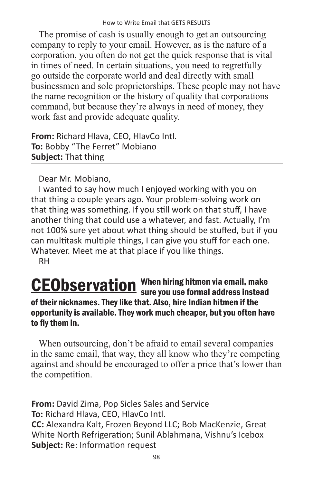The promise of cash is usually enough to get an outsourcing company to reply to your email. However, as is the nature of a corporation, you often do not get the quick response that is vital in times of need. In certain situations, you need to regretfully go outside the corporate world and deal directly with small businessmen and sole proprietorships. These people may not have the name recognition or the history of quality that corporations command, but because they're always in need of money, they work fast and provide adequate quality.

**From:** Richard Hlava, CEO, HlavCo Intl. **To:** Bobby "The Ferret" Mobiano **Subject:** That thing

Dear Mr. Mobiano,

I wanted to say how much I enjoyed working with you on that thing a couple years ago. Your problem-solving work on that thing was something. If you still work on that stuff, I have another thing that could use a whatever, and fast. Actually, I'm not 100% sure yet about what thing should be stuffed, but if you can multitask multiple things, I can give you stuff for each one. Whatever. Meet me at that place if you like things. RH

#### When hiring hitmen via email, make **CEObservation** When hiring hitmen via email, make<br>sure you use formal address instead of their nicknames. They like that. Also, hire Indian hitmen if the opportunity is available. They work much cheaper, but you often have to fly them in.

When outsourcing, don't be afraid to email several companies in the same email, that way, they all know who they're competing against and should be encouraged to offer a price that's lower than the competition.

**From:** David Zima, Pop Sicles Sales and Service **To:** Richard Hlava, CEO, HlavCo Intl. **CC:** Alexandra Kalt, Frozen Beyond LLC; Bob MacKenzie, Great White North Refrigeration; Sunil Ablahmana, Vishnu's Icebox **Subject:** Re: Information request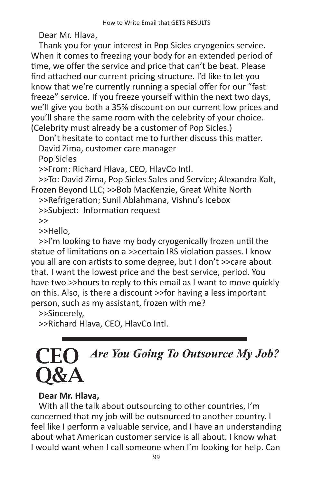Dear Mr. Hlava,

Thank you for your interest in Pop Sicles cryogenics service. When it comes to freezing your body for an extended period of time, we offer the service and price that can't be beat. Please find attached our current pricing structure. I'd like to let you know that we're currently running a special offer for our "fast freeze" service. If you freeze yourself within the next two days, we'll give you both a 35% discount on our current low prices and you'll share the same room with the celebrity of your choice. (Celebrity must already be a customer of Pop Sicles.)

Don't hesitate to contact me to further discuss this matter. David Zima, customer care manager Pop Sicles

>>From: Richard Hlava, CEO, HlavCo Intl.

>>To: David Zima, Pop Sicles Sales and Service; Alexandra Kalt, Frozen Beyond LLC; >>Bob MacKenzie, Great White North

>>Refrigeration; Sunil Ablahmana, Vishnu's Icebox

>>Subject: Information request

>>

>>Hello,

>>I'm looking to have my body cryogenically frozen until the statue of limitations on a >>certain IRS violation passes. I know you all are con artists to some degree, but I don't >>care about that. I want the lowest price and the best service, period. You have two >>hours to reply to this email as I want to move quickly on this. Also, is there a discount >>for having a less important person, such as my assistant, frozen with me?

>>Sincerely,

>>Richard Hlava, CEO, HlavCo Intl.

## *Are You Going To Outsource My Job?*  CEO Q&A

#### **Dear Mr. Hlava,**

With all the talk about outsourcing to other countries, I'm concerned that my job will be outsourced to another country. I feel like I perform a valuable service, and I have an understanding about what American customer service is all about. I know what I would want when I call someone when I'm looking for help. Can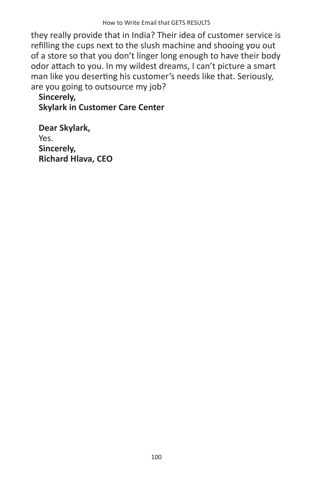they really provide that in India? Their idea of customer service is refilling the cups next to the slush machine and shooing you out of a store so that you don't linger long enough to have their body odor attach to you. In my wildest dreams, I can't picture a smart man like you deserting his customer's needs like that. Seriously, are you going to outsource my job?

**Sincerely, Skylark in Customer Care Center**

**Dear Skylark,** Yes. **Sincerely, Richard Hlava, CEO**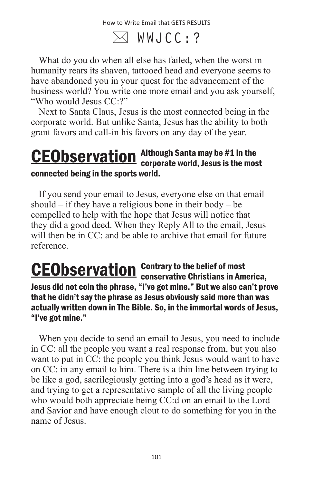How to Write Email that GETS RESULTS

 $\boxtimes$  WWJCC:?

What do you do when all else has failed, when the worst in humanity rears its shaven, tattooed head and everyone seems to have abandoned you in your quest for the advancement of the business world? You write one more email and you ask yourself, "Who would Jesus CC:?"

Next to Santa Claus, Jesus is the most connected being in the corporate world. But unlike Santa, Jesus has the ability to both grant favors and call-in his favors on any day of the year.

#### Although Santa may be #1 in the **CEObservation** Although Santa may be #1 in the<br>corporate world, Jesus is the most connected being in the sports world.

If you send your email to Jesus, everyone else on that email should – if they have a religious bone in their body – be compelled to help with the hope that Jesus will notice that they did a good deed. When they Reply All to the email, Jesus will then be in CC: and be able to archive that email for future reference.

Contrary to the belief of most **CEObservation** Contrary to the belief of most<br>conservative Christians in America, Jesus did not coin the phrase, "I've got mine." But we also can't prove that he didn't say the phrase as Jesus obviously said more than was actually written down in The Bible. So, in the immortal words of Jesus, "I've got mine."

When you decide to send an email to Jesus, you need to include in CC: all the people you want a real response from, but you also want to put in CC: the people you think Jesus would want to have on CC: in any email to him. There is a thin line between trying to be like a god, sacrilegiously getting into a god's head as it were, and trying to get a representative sample of all the living people who would both appreciate being CC:d on an email to the Lord and Savior and have enough clout to do something for you in the name of Jesus.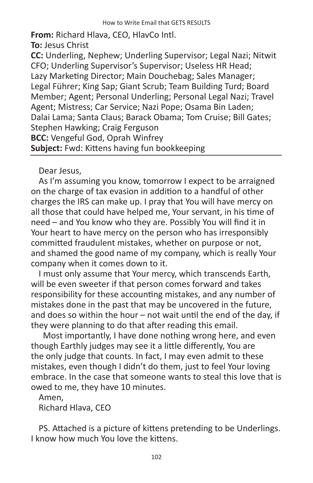**From:** Richard Hlava, CEO, HlavCo Intl. **To:** Jesus Christ **CC:** Underling, Nephew; Underling Supervisor; Legal Nazi; Nitwit CFO; Underling Supervisor's Supervisor; Useless HR Head; Lazy Marketing Director; Main Douchebag; Sales Manager; Legal Führer; King Sap; Giant Scrub; Team Building Turd; Board Member; Agent; Personal Underling; Personal Legal Nazi; Travel Agent; Mistress; Car Service; Nazi Pope; Osama Bin Laden; Dalai Lama; Santa Claus; Barack Obama; Tom Cruise; Bill Gates; Stephen Hawking; Craig Ferguson **BCC:** Vengeful God, Oprah Winfrey **Subject:** Fwd: Kittens having fun bookkeeping

Dear Jesus,

As I'm assuming you know, tomorrow I expect to be arraigned on the charge of tax evasion in addition to a handful of other charges the IRS can make up. I pray that You will have mercy on all those that could have helped me, Your servant, in his time of need – and You know who they are. Possibly You will find it in Your heart to have mercy on the person who has irresponsibly committed fraudulent mistakes, whether on purpose or not, and shamed the good name of my company, which is really Your company when it comes down to it.

I must only assume that Your mercy, which transcends Earth, will be even sweeter if that person comes forward and takes responsibility for these accounting mistakes, and any number of mistakes done in the past that may be uncovered in the future, and does so within the hour – not wait until the end of the day, if they were planning to do that after reading this email.

 Most importantly, I have done nothing wrong here, and even though Earthly judges may see it a little differently, You are the only judge that counts. In fact, I may even admit to these mistakes, even though I didn't do them, just to feel Your loving embrace. In the case that someone wants to steal this love that is owed to me, they have 10 minutes.

Amen,

Richard Hlava, CEO

PS. Attached is a picture of kittens pretending to be Underlings. I know how much You love the kittens.